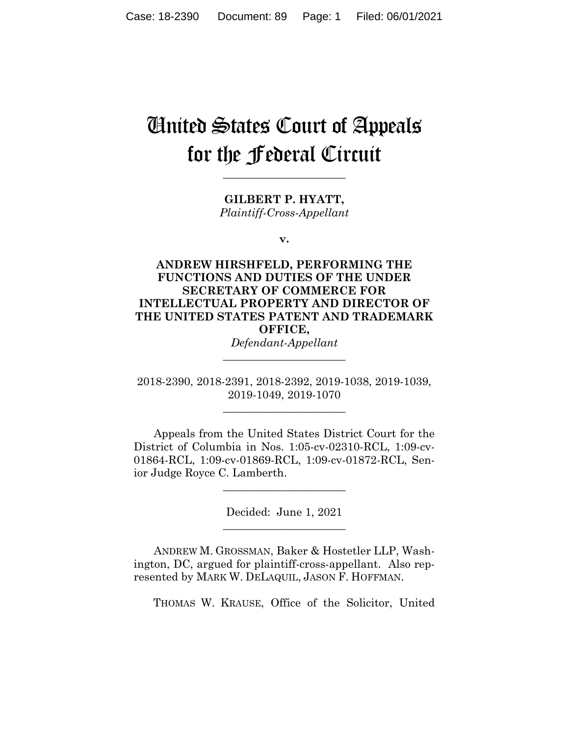# United States Court of Appeals for the Federal Circuit

**GILBERT P. HYATT,** *Plaintiff-Cross-Appellant*

**\_\_\_\_\_\_\_\_\_\_\_\_\_\_\_\_\_\_\_\_\_\_**

**v.**

**ANDREW HIRSHFELD, PERFORMING THE FUNCTIONS AND DUTIES OF THE UNDER SECRETARY OF COMMERCE FOR INTELLECTUAL PROPERTY AND DIRECTOR OF THE UNITED STATES PATENT AND TRADEMARK OFFICE,**

*Defendant-Appellant* **\_\_\_\_\_\_\_\_\_\_\_\_\_\_\_\_\_\_\_\_\_\_**

2018-2390, 2018-2391, 2018-2392, 2019-1038, 2019-1039, 2019-1049, 2019-1070

**\_\_\_\_\_\_\_\_\_\_\_\_\_\_\_\_\_\_\_\_\_\_**

Appeals from the United States District Court for the District of Columbia in Nos. 1:05-cv-02310-RCL, 1:09-cv-01864-RCL, 1:09-cv-01869-RCL, 1:09-cv-01872-RCL, Senior Judge Royce C. Lamberth.

> Decided: June 1, 2021 **\_\_\_\_\_\_\_\_\_\_\_\_\_\_\_\_\_\_\_\_\_\_**

> **\_\_\_\_\_\_\_\_\_\_\_\_\_\_\_\_\_\_\_\_\_\_**

ANDREW M. GROSSMAN, Baker & Hostetler LLP, Washington, DC, argued for plaintiff-cross-appellant. Also represented by MARK W. DELAQUIL, JASON F. HOFFMAN.

THOMAS W. KRAUSE, Office of the Solicitor, United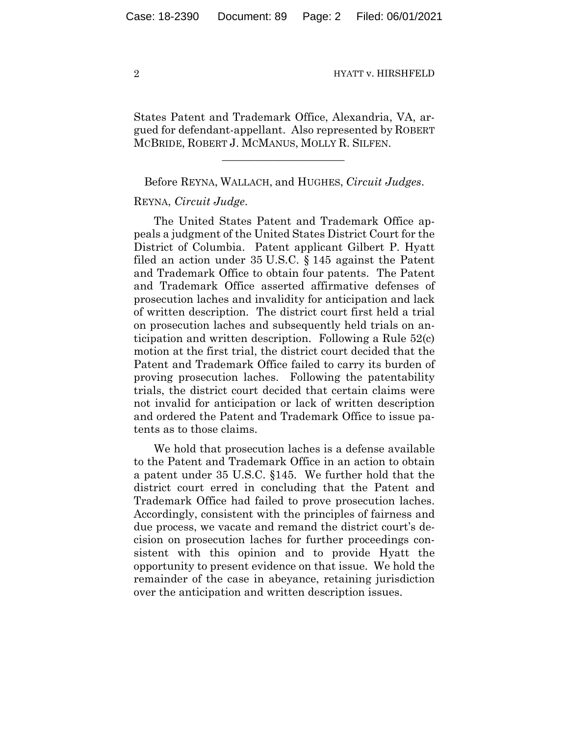States Patent and Trademark Office, Alexandria, VA, argued for defendant-appellant. Also represented by ROBERT MCBRIDE, ROBERT J. MCMANUS, MOLLY R. SILFEN.

Before REYNA, WALLACH, and HUGHES, *Circuit Judges*.

 $\mathcal{L}_\text{max}$  and  $\mathcal{L}_\text{max}$  and  $\mathcal{L}_\text{max}$  and  $\mathcal{L}_\text{max}$ 

# REYNA, *Circuit Judge*.

The United States Patent and Trademark Office appeals a judgment of the United States District Court for the District of Columbia. Patent applicant Gilbert P. Hyatt filed an action under 35 U.S.C. § 145 against the Patent and Trademark Office to obtain four patents. The Patent and Trademark Office asserted affirmative defenses of prosecution laches and invalidity for anticipation and lack of written description. The district court first held a trial on prosecution laches and subsequently held trials on anticipation and written description. Following a Rule 52(c) motion at the first trial, the district court decided that the Patent and Trademark Office failed to carry its burden of proving prosecution laches. Following the patentability trials, the district court decided that certain claims were not invalid for anticipation or lack of written description and ordered the Patent and Trademark Office to issue patents as to those claims.

We hold that prosecution laches is a defense available to the Patent and Trademark Office in an action to obtain a patent under 35 U.S.C. §145. We further hold that the district court erred in concluding that the Patent and Trademark Office had failed to prove prosecution laches. Accordingly, consistent with the principles of fairness and due process, we vacate and remand the district court's decision on prosecution laches for further proceedings consistent with this opinion and to provide Hyatt the opportunity to present evidence on that issue. We hold the remainder of the case in abeyance, retaining jurisdiction over the anticipation and written description issues.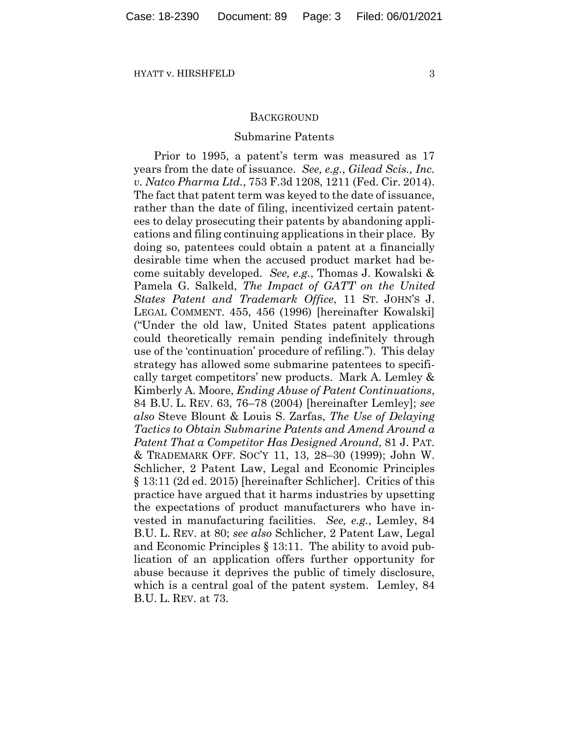## **BACKGROUND**

#### Submarine Patents

Prior to 1995, a patent's term was measured as 17 years from the date of issuance. *See, e.g.*, *Gilead Scis., Inc. v. Natco Pharma Ltd.*, 753 F.3d 1208, 1211 (Fed. Cir. 2014). The fact that patent term was keyed to the date of issuance, rather than the date of filing, incentivized certain patentees to delay prosecuting their patents by abandoning applications and filing continuing applications in their place. By doing so, patentees could obtain a patent at a financially desirable time when the accused product market had become suitably developed. *See, e.g.*, Thomas J. Kowalski & Pamela G. Salkeld, *The Impact of GATT on the United States Patent and Trademark Office*, 11 ST. JOHN'S J. LEGAL COMMENT. 455, 456 (1996) [hereinafter Kowalski] ("Under the old law, United States patent applications could theoretically remain pending indefinitely through use of the 'continuation' procedure of refiling."). This delay strategy has allowed some submarine patentees to specifically target competitors' new products. Mark A. Lemley & Kimberly A. Moore, *Ending Abuse of Patent Continuations*, 84 B.U. L. REV. 63, 76–78 (2004) [hereinafter Lemley]; *see also* Steve Blount & Louis S. Zarfas, *The Use of Delaying Tactics to Obtain Submarine Patents and Amend Around a Patent That a Competitor Has Designed Around*, 81 J. PAT. & TRADEMARK OFF. SOC'Y 11, 13, 28–30 (1999); John W. Schlicher, 2 Patent Law, Legal and Economic Principles § 13:11 (2d ed. 2015) [hereinafter Schlicher]. Critics of this practice have argued that it harms industries by upsetting the expectations of product manufacturers who have invested in manufacturing facilities. *See, e.g.*, Lemley, 84 B.U. L. REV. at 80; *see also* Schlicher, 2 Patent Law, Legal and Economic Principles § 13:11. The ability to avoid publication of an application offers further opportunity for abuse because it deprives the public of timely disclosure, which is a central goal of the patent system. Lemley, 84 B.U. L. REV. at 73.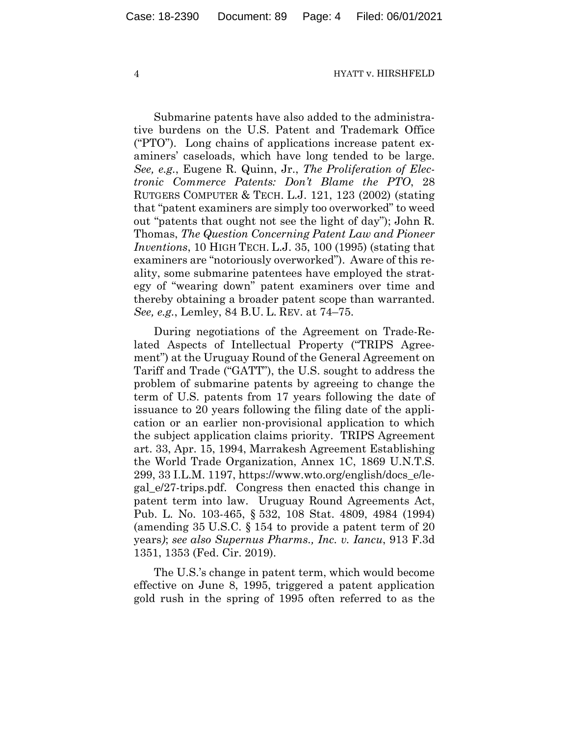Submarine patents have also added to the administrative burdens on the U.S. Patent and Trademark Office ("PTO"). Long chains of applications increase patent examiners' caseloads, which have long tended to be large. *See, e.g.*, Eugene R. Quinn, Jr., *The Proliferation of Electronic Commerce Patents: Don't Blame the PTO*, 28 RUTGERS COMPUTER & TECH. L.J. 121, 123 (2002) (stating that "patent examiners are simply too overworked" to weed out "patents that ought not see the light of day"); John R. Thomas, *The Question Concerning Patent Law and Pioneer Inventions*, 10 HIGH TECH. L.J. 35, 100 (1995) (stating that examiners are "notoriously overworked"). Aware of this reality, some submarine patentees have employed the strategy of "wearing down" patent examiners over time and thereby obtaining a broader patent scope than warranted. *See, e.g.*, Lemley, 84 B.U. L. REV. at 74–75.

During negotiations of the Agreement on Trade-Related Aspects of Intellectual Property ("TRIPS Agreement") at the Uruguay Round of the General Agreement on Tariff and Trade ("GATT"), the U.S. sought to address the problem of submarine patents by agreeing to change the term of U.S. patents from 17 years following the date of issuance to 20 years following the filing date of the application or an earlier non-provisional application to which the subject application claims priority. TRIPS Agreement art. 33, Apr. 15, 1994, Marrakesh Agreement Establishing the World Trade Organization, Annex 1C, 1869 U.N.T.S. 299, 33 I.L.M. 1197, https://www.wto.org/english/docs\_e/legal\_e/27-trips.pdf. Congress then enacted this change in patent term into law. Uruguay Round Agreements Act, Pub. L. No. 103-465, § 532, 108 Stat. 4809, 4984 (1994) (amending 35 U.S.C. § 154 to provide a patent term of 20 years*)*; *see also Supernus Pharms., Inc. v. Iancu*, 913 F.3d 1351, 1353 (Fed. Cir. 2019).

The U.S.'s change in patent term, which would become effective on June 8, 1995, triggered a patent application gold rush in the spring of 1995 often referred to as the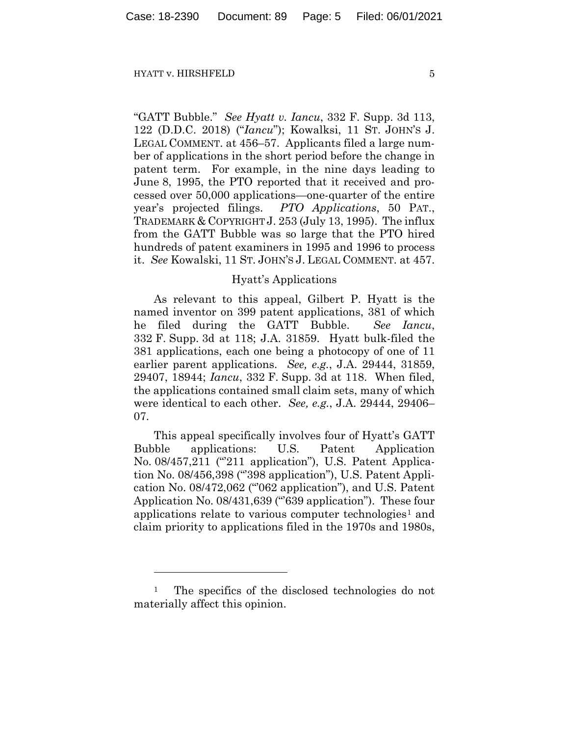"GATT Bubble." *See Hyatt v. Iancu*, 332 F. Supp. 3d 113, 122 (D.D.C. 2018) ("*Iancu*"); Kowalksi, 11 ST. JOHN'S J. LEGAL COMMENT. at 456–57. Applicants filed a large number of applications in the short period before the change in patent term. For example, in the nine days leading to June 8, 1995, the PTO reported that it received and processed over 50,000 applications—one-quarter of the entire year's projected filings. *PTO Applications*, 50 PAT., TRADEMARK & COPYRIGHT J. 253 (July 13, 1995). The influx from the GATT Bubble was so large that the PTO hired hundreds of patent examiners in 1995 and 1996 to process it. *See* Kowalski, 11 ST. JOHN'S J. LEGAL COMMENT. at 457.

## Hyatt's Applications

As relevant to this appeal, Gilbert P. Hyatt is the named inventor on 399 patent applications, 381 of which he filed during the GATT Bubble. *See Iancu*, 332 F. Supp. 3d at 118; J.A. 31859. Hyatt bulk-filed the 381 applications, each one being a photocopy of one of 11 earlier parent applications. *See, e.g.*, J.A. 29444, 31859, 29407, 18944; *Iancu*, 332 F. Supp. 3d at 118. When filed, the applications contained small claim sets, many of which were identical to each other. *See, e.g.*, J.A. 29444, 29406– 07.

This appeal specifically involves four of Hyatt's GATT Bubble applications: U.S. Patent Application No. 08/457,211 ("211 application"), U.S. Patent Application No. 08/456,398 ("'398 application"), U.S. Patent Application No. 08/472,062 ("'062 application"), and U.S. Patent Application No. 08/431,639 ("639 application"). These four applications relate to various computer technologies<sup>[1](#page-4-0)</sup> and claim priority to applications filed in the 1970s and 1980s,

<span id="page-4-0"></span><sup>&</sup>lt;sup>1</sup> The specifics of the disclosed technologies do not materially affect this opinion.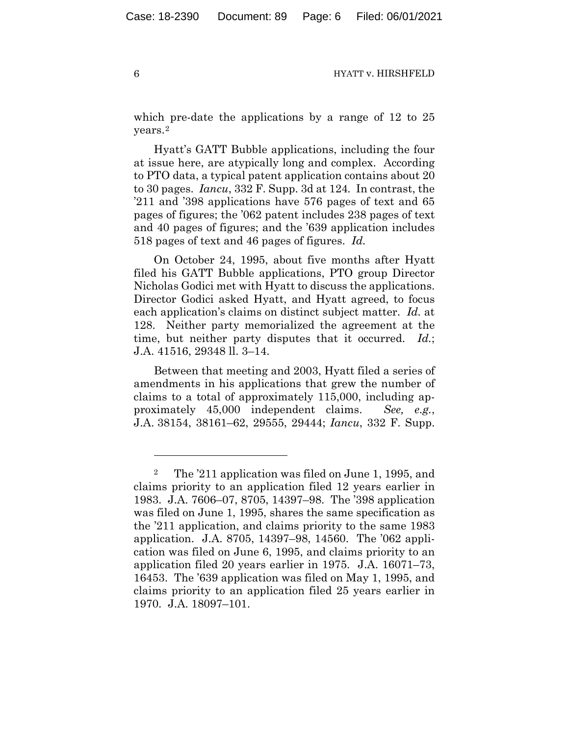which pre-date the applications by a range of 12 to 25 years.[2](#page-5-0)

Hyatt's GATT Bubble applications, including the four at issue here, are atypically long and complex. According to PTO data, a typical patent application contains about 20 to 30 pages. *Iancu*, 332 F. Supp. 3d at 124*.* In contrast, the '211 and '398 applications have 576 pages of text and 65 pages of figures; the '062 patent includes 238 pages of text and 40 pages of figures; and the '639 application includes 518 pages of text and 46 pages of figures. *Id.*

On October 24, 1995, about five months after Hyatt filed his GATT Bubble applications, PTO group Director Nicholas Godici met with Hyatt to discuss the applications. Director Godici asked Hyatt, and Hyatt agreed, to focus each application's claims on distinct subject matter. *Id.* at 128. Neither party memorialized the agreement at the time, but neither party disputes that it occurred. *Id.*; J.A. 41516, 29348 ll. 3–14.

Between that meeting and 2003, Hyatt filed a series of amendments in his applications that grew the number of claims to a total of approximately 115,000, including approximately 45,000 independent claims. *See, e.g.*, J.A. 38154, 38161–62, 29555, 29444; *Iancu*, 332 F. Supp.

<span id="page-5-0"></span><sup>2</sup> The '211 application was filed on June 1, 1995, and claims priority to an application filed 12 years earlier in 1983. J.A. 7606–07, 8705, 14397–98. The '398 application was filed on June 1, 1995, shares the same specification as the '211 application, and claims priority to the same 1983 application. J.A. 8705, 14397–98, 14560. The '062 application was filed on June 6, 1995, and claims priority to an application filed 20 years earlier in 1975. J.A. 16071–73, 16453. The '639 application was filed on May 1, 1995, and claims priority to an application filed 25 years earlier in 1970. J.A. 18097–101.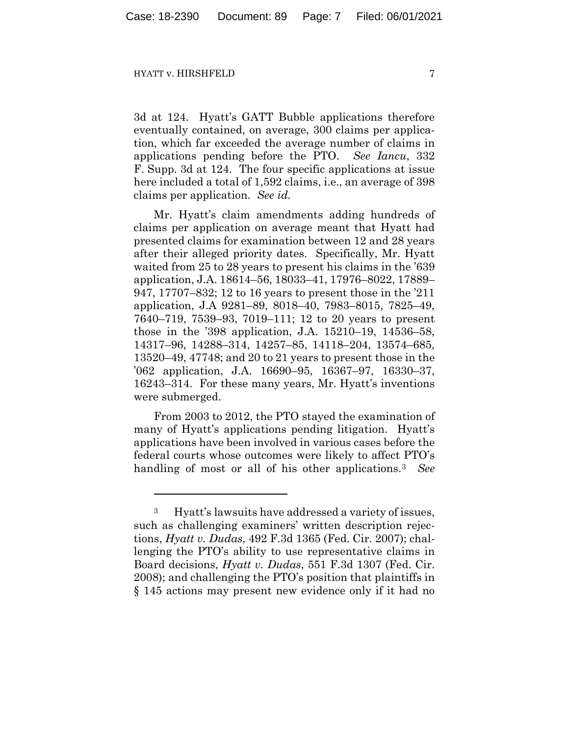3d at 124. Hyatt's GATT Bubble applications therefore eventually contained, on average, 300 claims per application, which far exceeded the average number of claims in applications pending before the PTO. *See Iancu*, 332 F. Supp. 3d at 124. The four specific applications at issue here included a total of 1,592 claims, i.e., an average of 398 claims per application. *See id.*

Mr. Hyatt's claim amendments adding hundreds of claims per application on average meant that Hyatt had presented claims for examination between 12 and 28 years after their alleged priority dates. Specifically, Mr. Hyatt waited from 25 to 28 years to present his claims in the '639 application, J.A. 18614–56, 18033–41, 17976–8022, 17889– 947, 17707–832; 12 to 16 years to present those in the '211 application, J.A 9281–89, 8018–40, 7983–8015, 7825–49, 7640–719, 7539–93, 7019–111; 12 to 20 years to present those in the '398 application, J.A. 15210–19, 14536–58, 14317–96, 14288–314, 14257–85, 14118–204, 13574–685, 13520–49, 47748; and 20 to 21 years to present those in the '062 application, J.A. 16690–95, 16367–97, 16330–37, 16243–314. For these many years, Mr. Hyatt's inventions were submerged.

From 2003 to 2012, the PTO stayed the examination of many of Hyatt's applications pending litigation. Hyatt's applications have been involved in various cases before the federal courts whose outcomes were likely to affect PTO's handling of most or all of his other applications.[3](#page-6-0) *See*

<span id="page-6-0"></span><sup>3</sup> Hyatt's lawsuits have addressed a variety of issues, such as challenging examiners' written description rejections, *Hyatt v. Dudas*, 492 F.3d 1365 (Fed. Cir. 2007); challenging the PTO's ability to use representative claims in Board decisions, *Hyatt v. Dudas*, 551 F.3d 1307 (Fed. Cir. 2008); and challenging the PTO's position that plaintiffs in § 145 actions may present new evidence only if it had no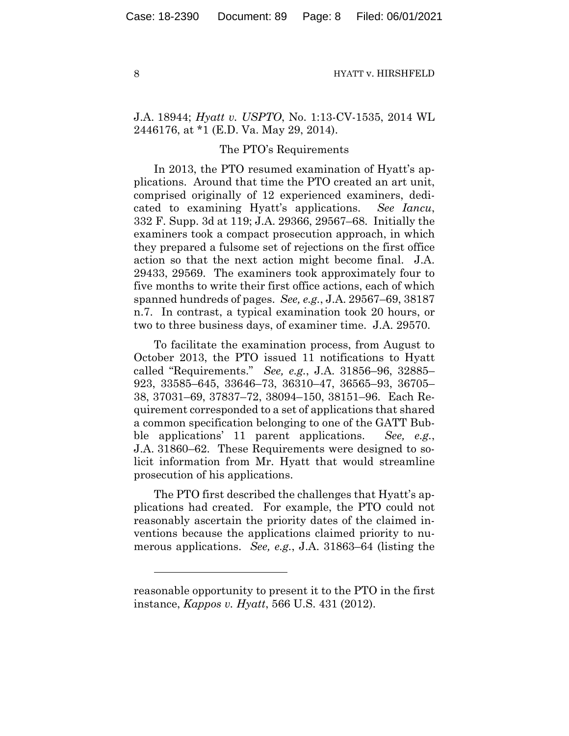J.A. 18944; *Hyatt v. USPTO*, No. 1:13-CV-1535, 2014 WL 2446176, at \*1 (E.D. Va. May 29, 2014).

## The PTO's Requirements

In 2013, the PTO resumed examination of Hyatt's applications. Around that time the PTO created an art unit, comprised originally of 12 experienced examiners, dedicated to examining Hyatt's applications. *See Iancu*, 332 F. Supp. 3d at 119; J.A. 29366, 29567–68. Initially the examiners took a compact prosecution approach, in which they prepared a fulsome set of rejections on the first office action so that the next action might become final. J.A. 29433, 29569. The examiners took approximately four to five months to write their first office actions, each of which spanned hundreds of pages. *See, e.g.*, J.A. 29567–69, 38187 n.7. In contrast, a typical examination took 20 hours, or two to three business days, of examiner time. J.A. 29570.

To facilitate the examination process, from August to October 2013, the PTO issued 11 notifications to Hyatt called "Requirements." *See, e.g.*, J.A. 31856–96, 32885– 923, 33585–645, 33646–73, 36310–47, 36565–93, 36705– 38, 37031–69, 37837–72, 38094–150, 38151–96. Each Requirement corresponded to a set of applications that shared a common specification belonging to one of the GATT Bubble applications' 11 parent applications. *See, e.g.*, J.A. 31860–62. These Requirements were designed to solicit information from Mr. Hyatt that would streamline prosecution of his applications.

The PTO first described the challenges that Hyatt's applications had created. For example, the PTO could not reasonably ascertain the priority dates of the claimed inventions because the applications claimed priority to numerous applications. *See, e.g.*, J.A. 31863–64 (listing the

reasonable opportunity to present it to the PTO in the first instance, *Kappos v. Hyatt*, 566 U.S. 431 (2012).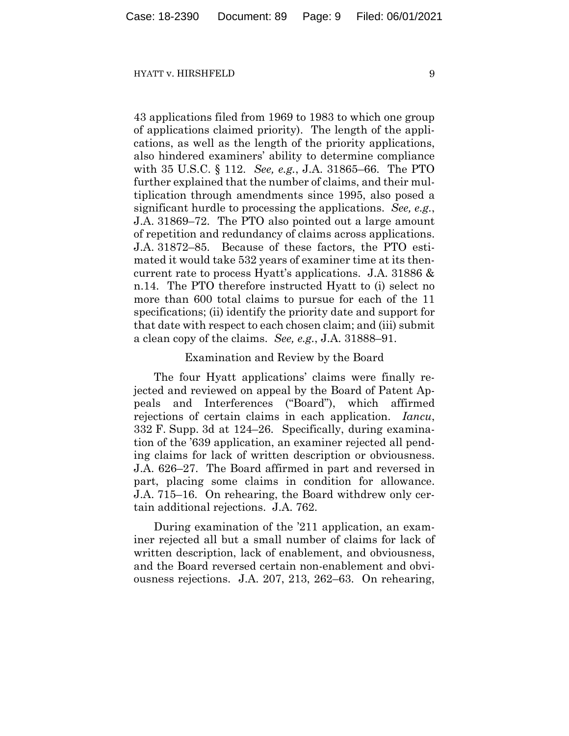43 applications filed from 1969 to 1983 to which one group of applications claimed priority). The length of the applications, as well as the length of the priority applications, also hindered examiners' ability to determine compliance with 35 U.S.C. § 112. *See, e.g.*, J.A. 31865–66. The PTO further explained that the number of claims, and their multiplication through amendments since 1995, also posed a significant hurdle to processing the applications. *See, e.g.*, J.A. 31869–72. The PTO also pointed out a large amount of repetition and redundancy of claims across applications. J.A. 31872–85. Because of these factors, the PTO estimated it would take 532 years of examiner time at its thencurrent rate to process Hyatt's applications. J.A. 31886 & n.14. The PTO therefore instructed Hyatt to (i) select no more than 600 total claims to pursue for each of the 11 specifications; (ii) identify the priority date and support for that date with respect to each chosen claim; and (iii) submit a clean copy of the claims. *See, e.g.*, J.A. 31888–91.

## Examination and Review by the Board

The four Hyatt applications' claims were finally rejected and reviewed on appeal by the Board of Patent Appeals and Interferences ("Board"), which affirmed rejections of certain claims in each application. *Iancu*, 332 F. Supp. 3d at 124–26. Specifically, during examination of the '639 application, an examiner rejected all pending claims for lack of written description or obviousness. J.A. 626–27. The Board affirmed in part and reversed in part, placing some claims in condition for allowance. J.A. 715–16. On rehearing, the Board withdrew only certain additional rejections. J.A. 762.

During examination of the '211 application, an examiner rejected all but a small number of claims for lack of written description, lack of enablement, and obviousness, and the Board reversed certain non-enablement and obviousness rejections. J.A. 207, 213, 262–63. On rehearing,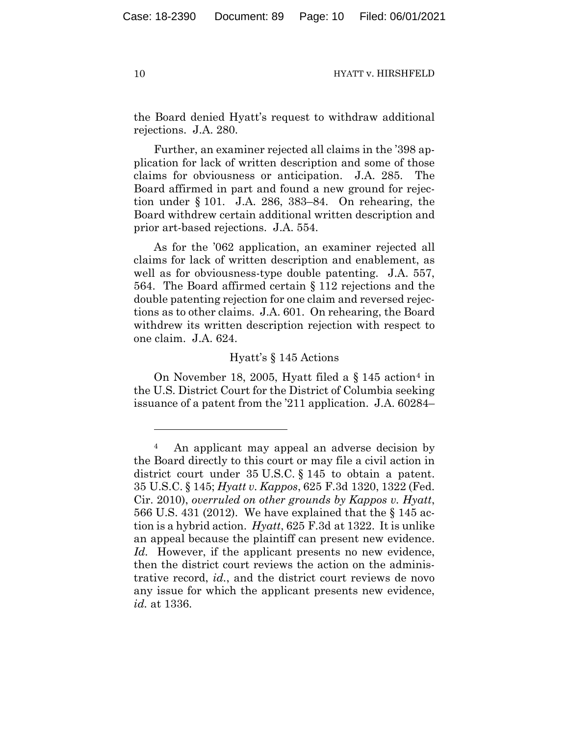the Board denied Hyatt's request to withdraw additional rejections. J.A. 280.

Further, an examiner rejected all claims in the '398 application for lack of written description and some of those claims for obviousness or anticipation. J.A. 285. The Board affirmed in part and found a new ground for rejection under § 101. J.A. 286, 383–84. On rehearing, the Board withdrew certain additional written description and prior art-based rejections. J.A. 554.

As for the '062 application, an examiner rejected all claims for lack of written description and enablement, as well as for obviousness-type double patenting. J.A. 557, 564. The Board affirmed certain § 112 rejections and the double patenting rejection for one claim and reversed rejections as to other claims. J.A. 601. On rehearing, the Board withdrew its written description rejection with respect to one claim. J.A. 624.

# Hyatt's § 145 Actions

On November 18, 2005, Hyatt filed a  $\S$  1[4](#page-9-0)5 action<sup>4</sup> in the U.S. District Court for the District of Columbia seeking issuance of a patent from the '211 application. J.A. 60284–

<span id="page-9-0"></span><sup>4</sup> An applicant may appeal an adverse decision by the Board directly to this court or may file a civil action in district court under 35 U.S.C. § 145 to obtain a patent. 35 U.S.C. § 145; *Hyatt v. Kappos*, 625 F.3d 1320, 1322 (Fed. Cir. 2010), *overruled on other grounds by Kappos v. Hyatt*, 566 U.S. 431 (2012). We have explained that the § 145 action is a hybrid action. *Hyatt*, 625 F.3d at 1322. It is unlike an appeal because the plaintiff can present new evidence. *Id.* However, if the applicant presents no new evidence, then the district court reviews the action on the administrative record, *id.*, and the district court reviews de novo any issue for which the applicant presents new evidence, *id.* at 1336.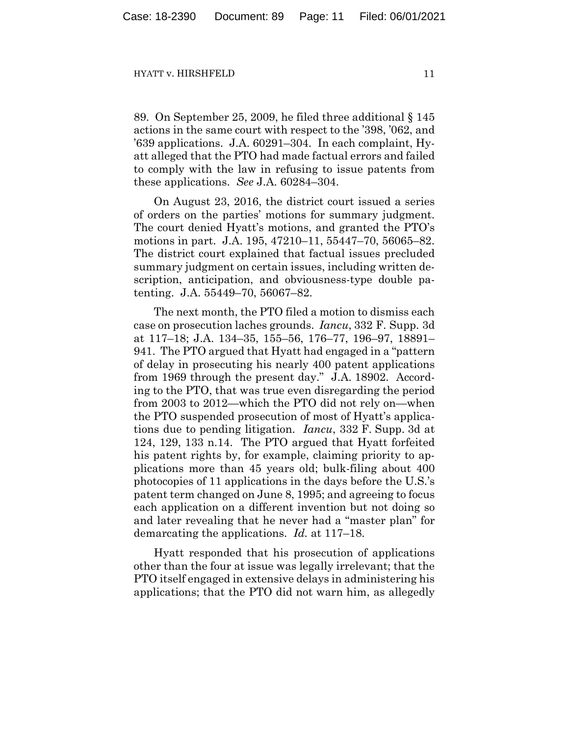89. On September 25, 2009, he filed three additional § 145 actions in the same court with respect to the '398, '062, and '639 applications. J.A. 60291–304. In each complaint, Hyatt alleged that the PTO had made factual errors and failed to comply with the law in refusing to issue patents from these applications. *See* J.A. 60284–304.

On August 23, 2016, the district court issued a series of orders on the parties' motions for summary judgment. The court denied Hyatt's motions, and granted the PTO's motions in part. J.A. 195, 47210–11, 55447–70, 56065–82. The district court explained that factual issues precluded summary judgment on certain issues, including written description, anticipation, and obviousness-type double patenting. J.A. 55449–70, 56067–82.

The next month, the PTO filed a motion to dismiss each case on prosecution laches grounds. *Iancu*, 332 F. Supp. 3d at 117–18; J.A. 134–35, 155–56, 176–77, 196–97, 18891– 941. The PTO argued that Hyatt had engaged in a "pattern of delay in prosecuting his nearly 400 patent applications from 1969 through the present day." J.A. 18902. According to the PTO, that was true even disregarding the period from 2003 to 2012—which the PTO did not rely on—when the PTO suspended prosecution of most of Hyatt's applications due to pending litigation. *Iancu*, 332 F. Supp. 3d at 124, 129, 133 n.14. The PTO argued that Hyatt forfeited his patent rights by, for example, claiming priority to applications more than 45 years old; bulk-filing about 400 photocopies of 11 applications in the days before the U.S.'s patent term changed on June 8, 1995; and agreeing to focus each application on a different invention but not doing so and later revealing that he never had a "master plan" for demarcating the applications. *Id.* at 117–18.

Hyatt responded that his prosecution of applications other than the four at issue was legally irrelevant; that the PTO itself engaged in extensive delays in administering his applications; that the PTO did not warn him, as allegedly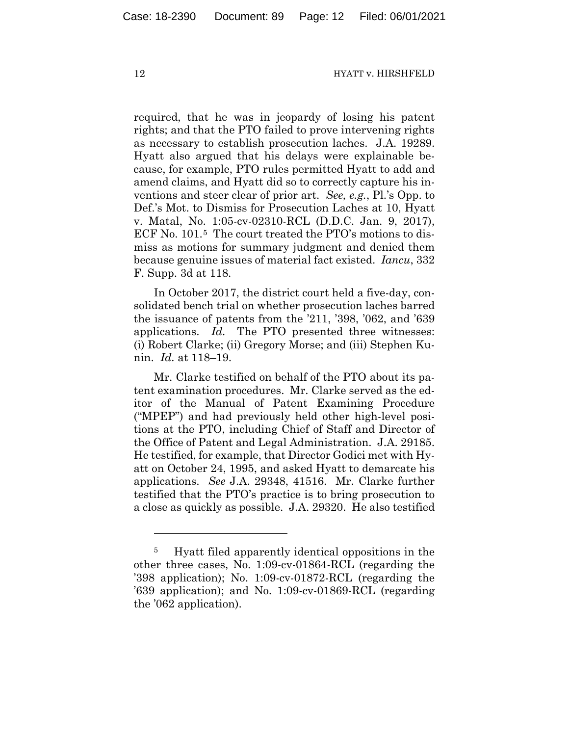required, that he was in jeopardy of losing his patent rights; and that the PTO failed to prove intervening rights as necessary to establish prosecution laches. J.A. 19289. Hyatt also argued that his delays were explainable because, for example, PTO rules permitted Hyatt to add and amend claims, and Hyatt did so to correctly capture his inventions and steer clear of prior art. *See, e.g.*, Pl.'s Opp. to Def.'s Mot. to Dismiss for Prosecution Laches at 10, Hyatt v. Matal, No. 1:05-cv-02310-RCL (D.D.C. Jan. 9, 2017), ECF No. 101.[5](#page-11-0) The court treated the PTO's motions to dismiss as motions for summary judgment and denied them because genuine issues of material fact existed. *Iancu*, 332 F. Supp. 3d at 118.

In October 2017, the district court held a five-day, consolidated bench trial on whether prosecution laches barred the issuance of patents from the '211, '398, '062, and '639 applications. *Id.* The PTO presented three witnesses: (i) Robert Clarke; (ii) Gregory Morse; and (iii) Stephen Kunin. *Id.* at 118–19.

Mr. Clarke testified on behalf of the PTO about its patent examination procedures. Mr. Clarke served as the editor of the Manual of Patent Examining Procedure ("MPEP") and had previously held other high-level positions at the PTO, including Chief of Staff and Director of the Office of Patent and Legal Administration. J.A. 29185. He testified, for example, that Director Godici met with Hyatt on October 24, 1995, and asked Hyatt to demarcate his applications. *See* J.A. 29348, 41516. Mr. Clarke further testified that the PTO's practice is to bring prosecution to a close as quickly as possible. J.A. 29320. He also testified

<span id="page-11-0"></span><sup>5</sup> Hyatt filed apparently identical oppositions in the other three cases, No. 1:09-cv-01864-RCL (regarding the '398 application); No. 1:09-cv-01872-RCL (regarding the '639 application); and No. 1:09-cv-01869-RCL (regarding the '062 application).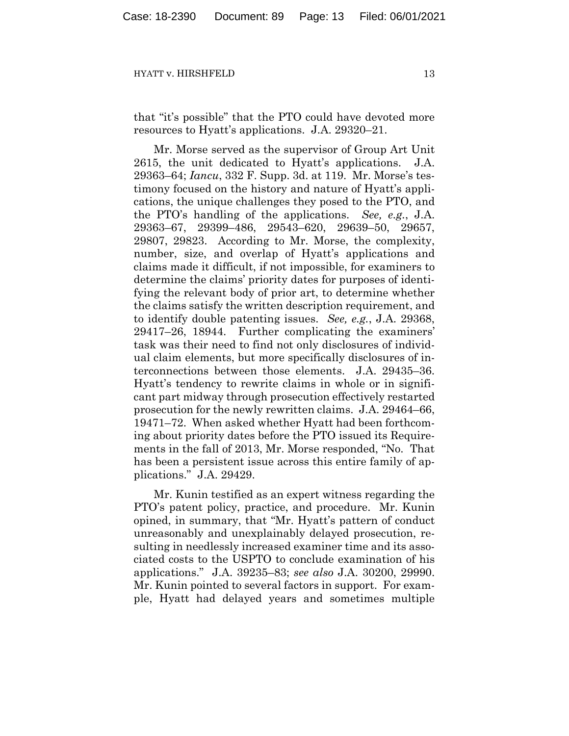that "it's possible" that the PTO could have devoted more resources to Hyatt's applications. J.A. 29320–21.

Mr. Morse served as the supervisor of Group Art Unit 2615, the unit dedicated to Hyatt's applications. J.A. 29363–64; *Iancu*, 332 F. Supp. 3d. at 119. Mr. Morse's testimony focused on the history and nature of Hyatt's applications, the unique challenges they posed to the PTO, and the PTO's handling of the applications. *See, e.g.*, J.A. 29363–67, 29399–486, 29543–620, 29639–50, 29657, 29807, 29823. According to Mr. Morse, the complexity, number, size, and overlap of Hyatt's applications and claims made it difficult, if not impossible, for examiners to determine the claims' priority dates for purposes of identifying the relevant body of prior art, to determine whether the claims satisfy the written description requirement, and to identify double patenting issues. *See, e.g.*, J.A. 29368, 29417–26, 18944. Further complicating the examiners' task was their need to find not only disclosures of individual claim elements, but more specifically disclosures of interconnections between those elements. J.A. 29435–36. Hyatt's tendency to rewrite claims in whole or in significant part midway through prosecution effectively restarted prosecution for the newly rewritten claims. J.A. 29464–66, 19471–72. When asked whether Hyatt had been forthcoming about priority dates before the PTO issued its Requirements in the fall of 2013, Mr. Morse responded, "No. That has been a persistent issue across this entire family of applications." J.A. 29429.

Mr. Kunin testified as an expert witness regarding the PTO's patent policy, practice, and procedure. Mr. Kunin opined, in summary, that "Mr. Hyatt's pattern of conduct unreasonably and unexplainably delayed prosecution, resulting in needlessly increased examiner time and its associated costs to the USPTO to conclude examination of his applications." J.A. 39235–83; *see also* J.A. 30200, 29990. Mr. Kunin pointed to several factors in support. For example, Hyatt had delayed years and sometimes multiple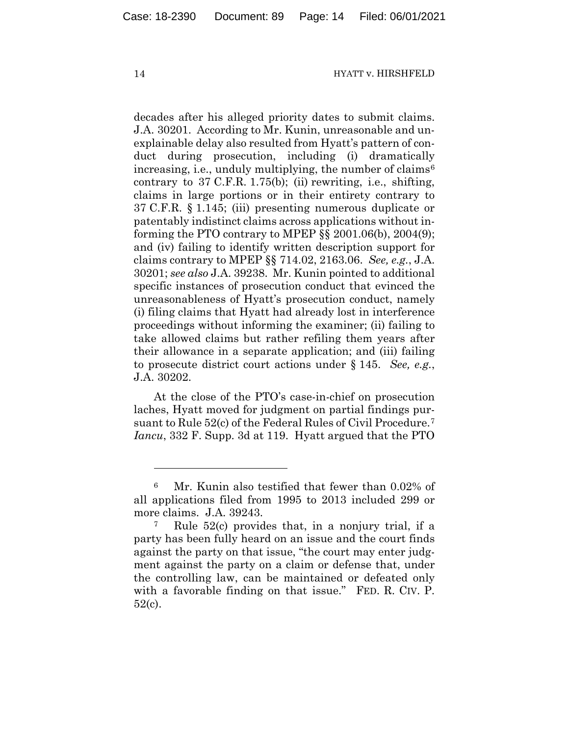decades after his alleged priority dates to submit claims. J.A. 30201. According to Mr. Kunin, unreasonable and unexplainable delay also resulted from Hyatt's pattern of conduct during prosecution, including (i) dramatically increasing, i.e., unduly multiplying, the number of claims<sup>[6](#page-13-0)</sup> contrary to 37 C.F.R. 1.75(b); (ii) rewriting, i.e., shifting, claims in large portions or in their entirety contrary to 37 C.F.R. § 1.145; (iii) presenting numerous duplicate or patentably indistinct claims across applications without informing the PTO contrary to MPEP  $\S$ § 2001.06(b), 2004(9); and (iv) failing to identify written description support for claims contrary to MPEP §§ 714.02, 2163.06. *See, e.g.*, J.A. 30201; *see also* J.A. 39238. Mr. Kunin pointed to additional specific instances of prosecution conduct that evinced the unreasonableness of Hyatt's prosecution conduct, namely (i) filing claims that Hyatt had already lost in interference proceedings without informing the examiner; (ii) failing to take allowed claims but rather refiling them years after their allowance in a separate application; and (iii) failing to prosecute district court actions under § 145. *See, e.g.*, J.A. 30202.

At the close of the PTO's case-in-chief on prosecution laches, Hyatt moved for judgment on partial findings pursuant to Rule 52(c) of the Federal Rules of Civil Procedure.[7](#page-13-1) *Iancu*, 332 F. Supp. 3d at 119. Hyatt argued that the PTO

<span id="page-13-0"></span><sup>6</sup> Mr. Kunin also testified that fewer than 0.02% of all applications filed from 1995 to 2013 included 299 or more claims. J.A. 39243.

<span id="page-13-1"></span><sup>7</sup> Rule 52(c) provides that, in a nonjury trial, if a party has been fully heard on an issue and the court finds against the party on that issue, "the court may enter judgment against the party on a claim or defense that, under the controlling law, can be maintained or defeated only with a favorable finding on that issue." FED. R. CIV. P. 52(c).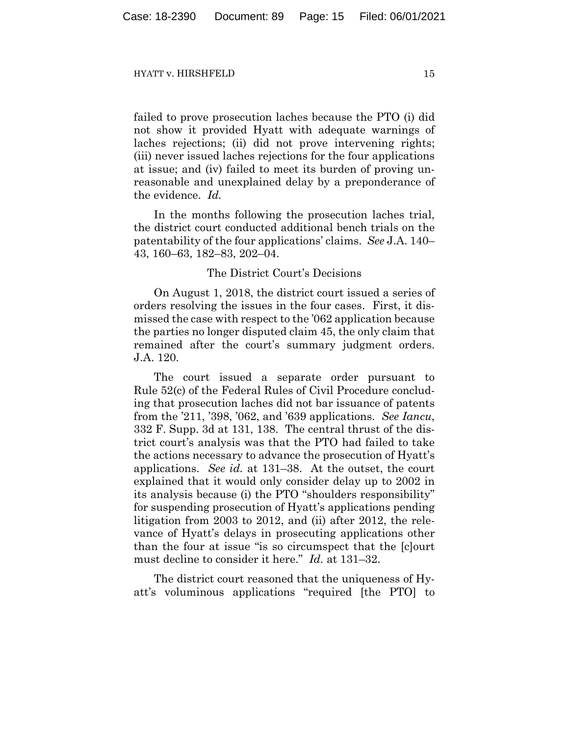failed to prove prosecution laches because the PTO (i) did not show it provided Hyatt with adequate warnings of laches rejections; (ii) did not prove intervening rights; (iii) never issued laches rejections for the four applications at issue; and (iv) failed to meet its burden of proving unreasonable and unexplained delay by a preponderance of the evidence. *Id.*

In the months following the prosecution laches trial, the district court conducted additional bench trials on the patentability of the four applications' claims. *See* J.A. 140– 43, 160–63, 182–83, 202–04.

# The District Court's Decisions

On August 1, 2018, the district court issued a series of orders resolving the issues in the four cases. First, it dismissed the case with respect to the '062 application because the parties no longer disputed claim 45, the only claim that remained after the court's summary judgment orders. J.A. 120.

The court issued a separate order pursuant to Rule 52(c) of the Federal Rules of Civil Procedure concluding that prosecution laches did not bar issuance of patents from the '211, '398, '062, and '639 applications. *See Iancu*, 332 F. Supp. 3d at 131, 138. The central thrust of the district court's analysis was that the PTO had failed to take the actions necessary to advance the prosecution of Hyatt's applications. *See id.* at 131–38. At the outset, the court explained that it would only consider delay up to 2002 in its analysis because (i) the PTO "shoulders responsibility" for suspending prosecution of Hyatt's applications pending litigation from 2003 to 2012, and (ii) after 2012, the relevance of Hyatt's delays in prosecuting applications other than the four at issue "is so circumspect that the [c]ourt must decline to consider it here." *Id.* at 131–32.

The district court reasoned that the uniqueness of Hyatt's voluminous applications "required [the PTO] to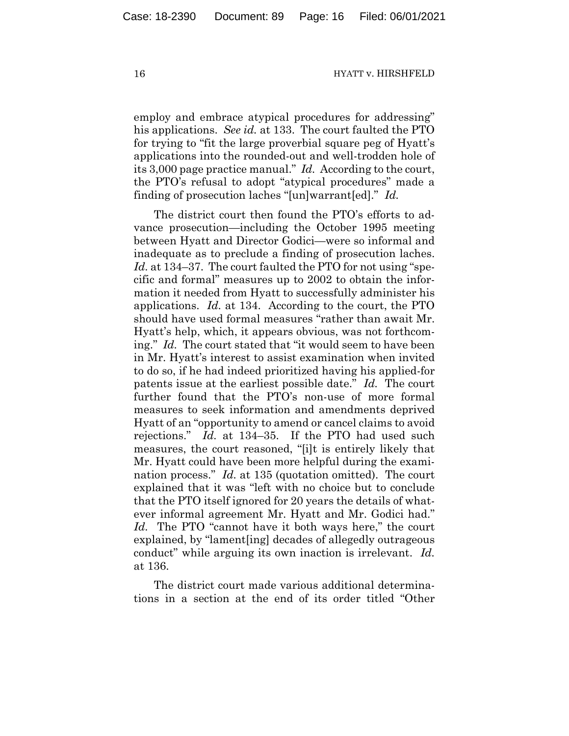employ and embrace atypical procedures for addressing" his applications. *See id.* at 133. The court faulted the PTO for trying to "fit the large proverbial square peg of Hyatt's applications into the rounded-out and well-trodden hole of its 3,000 page practice manual." *Id.* According to the court, the PTO's refusal to adopt "atypical procedures" made a finding of prosecution laches "[un]warrant[ed]." *Id.*

The district court then found the PTO's efforts to advance prosecution—including the October 1995 meeting between Hyatt and Director Godici—were so informal and inadequate as to preclude a finding of prosecution laches. *Id.* at 134–37. The court faulted the PTO for not using "specific and formal" measures up to 2002 to obtain the information it needed from Hyatt to successfully administer his applications. *Id.* at 134. According to the court, the PTO should have used formal measures "rather than await Mr. Hyatt's help, which, it appears obvious, was not forthcoming." *Id.* The court stated that "it would seem to have been in Mr. Hyatt's interest to assist examination when invited to do so, if he had indeed prioritized having his applied-for patents issue at the earliest possible date." *Id.* The court further found that the PTO's non-use of more formal measures to seek information and amendments deprived Hyatt of an "opportunity to amend or cancel claims to avoid rejections." *Id.* at 134–35. If the PTO had used such measures, the court reasoned, "[i]t is entirely likely that Mr. Hyatt could have been more helpful during the examination process." *Id.* at 135 (quotation omitted). The court explained that it was "left with no choice but to conclude that the PTO itself ignored for 20 years the details of whatever informal agreement Mr. Hyatt and Mr. Godici had." *Id.* The PTO "cannot have it both ways here," the court explained, by "lament[ing] decades of allegedly outrageous conduct" while arguing its own inaction is irrelevant. *Id.* at 136.

The district court made various additional determinations in a section at the end of its order titled "Other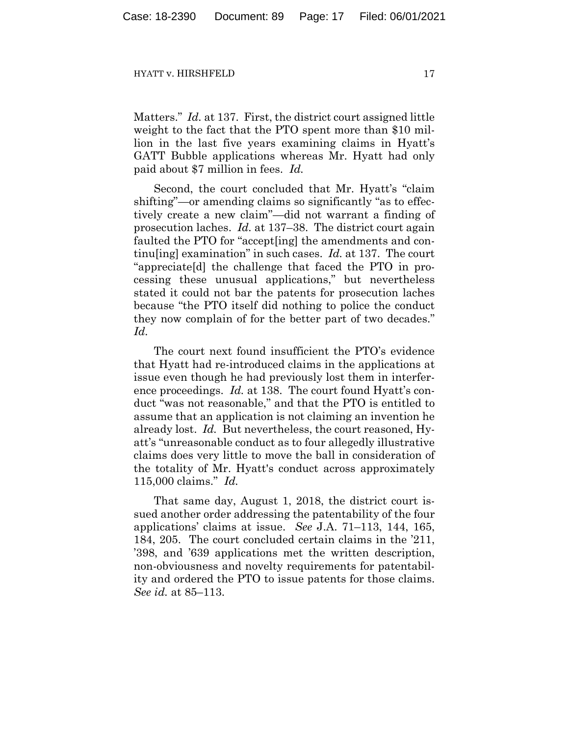Matters." *Id.* at 137. First, the district court assigned little weight to the fact that the PTO spent more than \$10 million in the last five years examining claims in Hyatt's GATT Bubble applications whereas Mr. Hyatt had only paid about \$7 million in fees. *Id.*

Second, the court concluded that Mr. Hyatt's "claim shifting"—or amending claims so significantly "as to effectively create a new claim"—did not warrant a finding of prosecution laches. *Id.* at 137–38. The district court again faulted the PTO for "accept[ing] the amendments and continu[ing] examination" in such cases. *Id.* at 137. The court "appreciate[d] the challenge that faced the PTO in processing these unusual applications," but nevertheless stated it could not bar the patents for prosecution laches because "the PTO itself did nothing to police the conduct they now complain of for the better part of two decades." *Id.*

The court next found insufficient the PTO's evidence that Hyatt had re-introduced claims in the applications at issue even though he had previously lost them in interference proceedings. *Id.* at 138. The court found Hyatt's conduct "was not reasonable," and that the PTO is entitled to assume that an application is not claiming an invention he already lost. *Id.* But nevertheless, the court reasoned, Hyatt's "unreasonable conduct as to four allegedly illustrative claims does very little to move the ball in consideration of the totality of Mr. Hyatt's conduct across approximately 115,000 claims." *Id.*

That same day, August 1, 2018, the district court issued another order addressing the patentability of the four applications' claims at issue. *See* J.A. 71–113, 144, 165, 184, 205. The court concluded certain claims in the '211, '398, and '639 applications met the written description, non-obviousness and novelty requirements for patentability and ordered the PTO to issue patents for those claims. *See id.* at 85–113.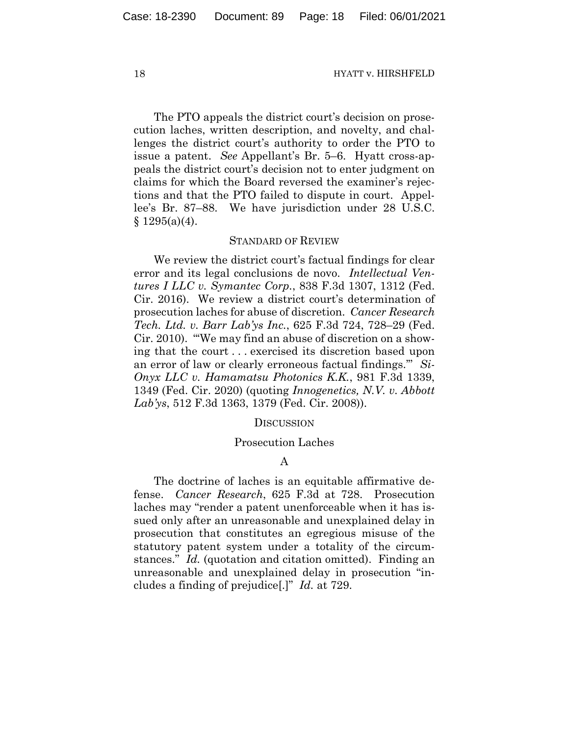The PTO appeals the district court's decision on prosecution laches, written description, and novelty, and challenges the district court's authority to order the PTO to issue a patent. *See* Appellant's Br. 5–6. Hyatt cross-appeals the district court's decision not to enter judgment on claims for which the Board reversed the examiner's rejections and that the PTO failed to dispute in court. Appellee's Br. 87–88. We have jurisdiction under 28 U.S.C. § 1295(a)(4).

## STANDARD OF REVIEW

We review the district court's factual findings for clear error and its legal conclusions de novo. *Intellectual Ventures I LLC v. Symantec Corp.*, 838 F.3d 1307, 1312 (Fed. Cir. 2016). We review a district court's determination of prosecution laches for abuse of discretion. *Cancer Research Tech. Ltd. v. Barr Lab'ys Inc.*, 625 F.3d 724, 728–29 (Fed. Cir. 2010). "'We may find an abuse of discretion on a showing that the court . . . exercised its discretion based upon an error of law or clearly erroneous factual findings.'" *Si-Onyx LLC v. Hamamatsu Photonics K.K.*, 981 F.3d 1339, 1349 (Fed. Cir. 2020) (quoting *Innogenetics, N.V. v. Abbott Lab'ys*, 512 F.3d 1363, 1379 (Fed. Cir. 2008)).

## **DISCUSSION**

### Prosecution Laches

# A

The doctrine of laches is an equitable affirmative defense. *Cancer Research*, 625 F.3d at 728. Prosecution laches may "render a patent unenforceable when it has issued only after an unreasonable and unexplained delay in prosecution that constitutes an egregious misuse of the statutory patent system under a totality of the circumstances." *Id.* (quotation and citation omitted). Finding an unreasonable and unexplained delay in prosecution "includes a finding of prejudice[.]" *Id.* at 729.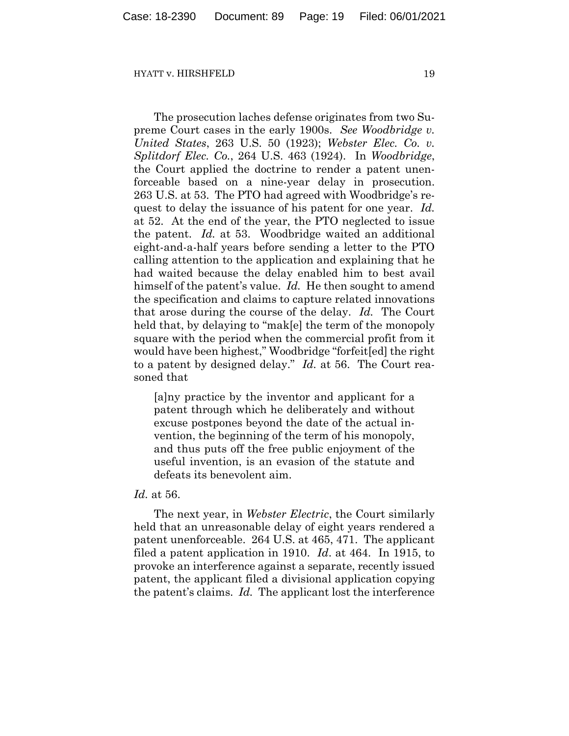The prosecution laches defense originates from two Supreme Court cases in the early 1900s. *See Woodbridge v. United States*, 263 U.S. 50 (1923); *Webster Elec. Co. v. Splitdorf Elec. Co.*, 264 U.S. 463 (1924). In *Woodbridge*, the Court applied the doctrine to render a patent unenforceable based on a nine-year delay in prosecution. 263 U.S. at 53. The PTO had agreed with Woodbridge's request to delay the issuance of his patent for one year. *Id.* at 52. At the end of the year, the PTO neglected to issue the patent. *Id.* at 53. Woodbridge waited an additional eight-and-a-half years before sending a letter to the PTO calling attention to the application and explaining that he had waited because the delay enabled him to best avail himself of the patent's value. *Id.* He then sought to amend the specification and claims to capture related innovations that arose during the course of the delay. *Id.* The Court held that, by delaying to "mak[e] the term of the monopoly square with the period when the commercial profit from it would have been highest," Woodbridge "forfeit[ed] the right to a patent by designed delay." *Id.* at 56. The Court reasoned that

[a]ny practice by the inventor and applicant for a patent through which he deliberately and without excuse postpones beyond the date of the actual invention, the beginning of the term of his monopoly, and thus puts off the free public enjoyment of the useful invention, is an evasion of the statute and defeats its benevolent aim.

## *Id.* at 56.

The next year, in *Webster Electric*, the Court similarly held that an unreasonable delay of eight years rendered a patent unenforceable. 264 U.S. at 465, 471. The applicant filed a patent application in 1910. *Id*. at 464. In 1915, to provoke an interference against a separate, recently issued patent, the applicant filed a divisional application copying the patent's claims. *Id.* The applicant lost the interference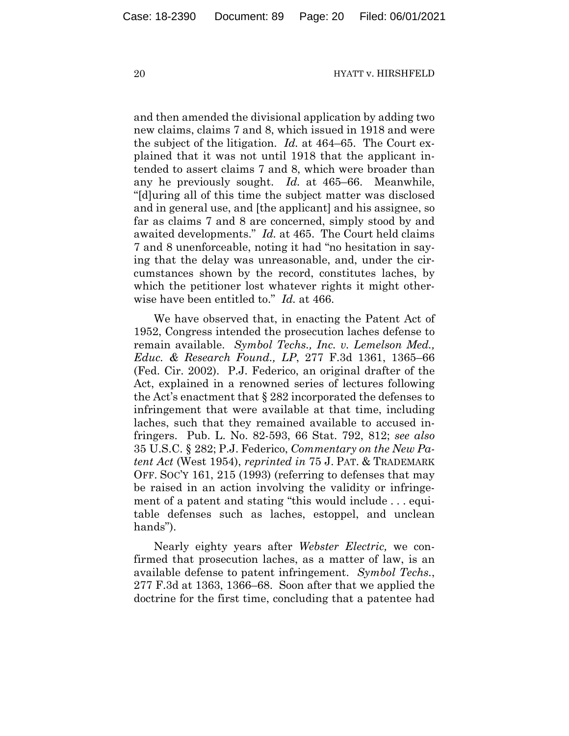and then amended the divisional application by adding two new claims, claims 7 and 8, which issued in 1918 and were the subject of the litigation. *Id.* at 464–65. The Court explained that it was not until 1918 that the applicant intended to assert claims 7 and 8, which were broader than any he previously sought. *Id.* at 465–66. Meanwhile, "[d]uring all of this time the subject matter was disclosed and in general use, and [the applicant] and his assignee, so far as claims 7 and 8 are concerned, simply stood by and awaited developments." *Id.* at 465. The Court held claims 7 and 8 unenforceable, noting it had "no hesitation in saying that the delay was unreasonable, and, under the circumstances shown by the record, constitutes laches, by which the petitioner lost whatever rights it might otherwise have been entitled to." *Id.* at 466.

We have observed that, in enacting the Patent Act of 1952, Congress intended the prosecution laches defense to remain available. *Symbol Techs., Inc. v. Lemelson Med., Educ. & Research Found., LP*, 277 F.3d 1361, 1365–66 (Fed. Cir. 2002). P.J. Federico, an original drafter of the Act, explained in a renowned series of lectures following the Act's enactment that § 282 incorporated the defenses to infringement that were available at that time, including laches, such that they remained available to accused infringers. Pub. L. No. 82-593, 66 Stat. 792, 812; *see also*  35 U.S.C. § 282; P.J. Federico, *Commentary on the New Patent Act* (West 1954), *reprinted in* 75 J. PAT. & TRADEMARK OFF. SOC'Y 161, 215 (1993) (referring to defenses that may be raised in an action involving the validity or infringement of a patent and stating "this would include . . . equitable defenses such as laches, estoppel, and unclean hands").

Nearly eighty years after *Webster Electric,* we confirmed that prosecution laches, as a matter of law, is an available defense to patent infringement. *Symbol Techs.*, 277 F.3d at 1363, 1366–68. Soon after that we applied the doctrine for the first time, concluding that a patentee had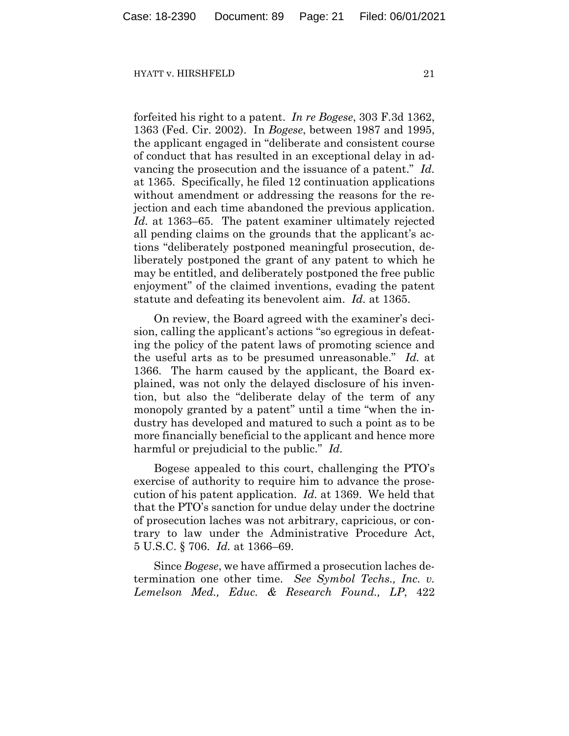forfeited his right to a patent. *In re Bogese*, 303 F.3d 1362, 1363 (Fed. Cir. 2002). In *Bogese*, between 1987 and 1995, the applicant engaged in "deliberate and consistent course of conduct that has resulted in an exceptional delay in advancing the prosecution and the issuance of a patent." *Id.* at 1365. Specifically, he filed 12 continuation applications without amendment or addressing the reasons for the rejection and each time abandoned the previous application. *Id.* at 1363–65. The patent examiner ultimately rejected all pending claims on the grounds that the applicant's actions "deliberately postponed meaningful prosecution, deliberately postponed the grant of any patent to which he may be entitled, and deliberately postponed the free public enjoyment" of the claimed inventions, evading the patent statute and defeating its benevolent aim. *Id.* at 1365.

On review, the Board agreed with the examiner's decision, calling the applicant's actions "so egregious in defeating the policy of the patent laws of promoting science and the useful arts as to be presumed unreasonable." *Id.* at 1366. The harm caused by the applicant, the Board explained, was not only the delayed disclosure of his invention, but also the "deliberate delay of the term of any monopoly granted by a patent" until a time "when the industry has developed and matured to such a point as to be more financially beneficial to the applicant and hence more harmful or prejudicial to the public." *Id.*

Bogese appealed to this court, challenging the PTO's exercise of authority to require him to advance the prosecution of his patent application. *Id.* at 1369. We held that that the PTO's sanction for undue delay under the doctrine of prosecution laches was not arbitrary, capricious, or contrary to law under the Administrative Procedure Act, 5 U.S.C. § 706. *Id.* at 1366–69.

Since *Bogese*, we have affirmed a prosecution laches determination one other time. *See Symbol Techs., Inc. v. Lemelson Med., Educ. & Research Found., LP*, 422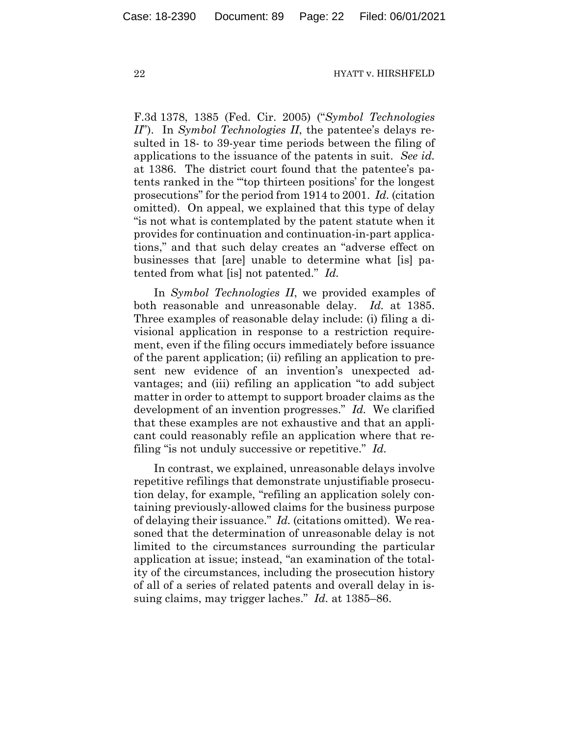F.3d 1378, 1385 (Fed. Cir. 2005) ("*Symbol Technologies II*"). In *Symbol Technologies II*, the patentee's delays resulted in 18- to 39-year time periods between the filing of applications to the issuance of the patents in suit. *See id.* at 1386. The district court found that the patentee's patents ranked in the "'top thirteen positions' for the longest prosecutions" for the period from 1914 to 2001. *Id.* (citation omitted). On appeal, we explained that this type of delay "is not what is contemplated by the patent statute when it provides for continuation and continuation-in-part applications," and that such delay creates an "adverse effect on businesses that [are] unable to determine what [is] patented from what [is] not patented." *Id.*

In *Symbol Technologies II*, we provided examples of both reasonable and unreasonable delay. *Id.* at 1385. Three examples of reasonable delay include: (i) filing a divisional application in response to a restriction requirement, even if the filing occurs immediately before issuance of the parent application; (ii) refiling an application to present new evidence of an invention's unexpected advantages; and (iii) refiling an application "to add subject matter in order to attempt to support broader claims as the development of an invention progresses." *Id.* We clarified that these examples are not exhaustive and that an applicant could reasonably refile an application where that refiling "is not unduly successive or repetitive." *Id.*

In contrast, we explained, unreasonable delays involve repetitive refilings that demonstrate unjustifiable prosecution delay, for example, "refiling an application solely containing previously-allowed claims for the business purpose of delaying their issuance." *Id.* (citations omitted). We reasoned that the determination of unreasonable delay is not limited to the circumstances surrounding the particular application at issue; instead, "an examination of the totality of the circumstances, including the prosecution history of all of a series of related patents and overall delay in issuing claims, may trigger laches." *Id.* at 1385–86.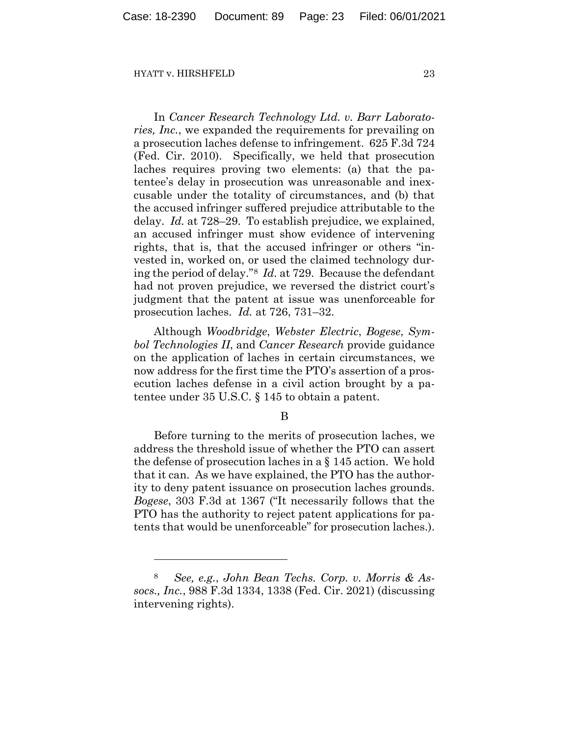In *Cancer Research Technology Ltd. v. Barr Laboratories, Inc.*, we expanded the requirements for prevailing on a prosecution laches defense to infringement. 625 F.3d 724 (Fed. Cir. 2010). Specifically, we held that prosecution laches requires proving two elements: (a) that the patentee's delay in prosecution was unreasonable and inexcusable under the totality of circumstances, and (b) that the accused infringer suffered prejudice attributable to the delay. *Id.* at 728–29. To establish prejudice, we explained, an accused infringer must show evidence of intervening rights, that is, that the accused infringer or others "invested in, worked on, or used the claimed technology during the period of delay."[8](#page-22-0) *Id.* at 729. Because the defendant had not proven prejudice, we reversed the district court's judgment that the patent at issue was unenforceable for prosecution laches. *Id.* at 726, 731–32.

Although *Woodbridge*, *Webster Electric*, *Bogese*, *Symbol Technologies II*, and *Cancer Research* provide guidance on the application of laches in certain circumstances, we now address for the first time the PTO's assertion of a prosecution laches defense in a civil action brought by a patentee under 35 U.S.C. § 145 to obtain a patent.

# B

Before turning to the merits of prosecution laches, we address the threshold issue of whether the PTO can assert the defense of prosecution laches in a § 145 action. We hold that it can. As we have explained, the PTO has the authority to deny patent issuance on prosecution laches grounds. *Bogese*, 303 F.3d at 1367 ("It necessarily follows that the PTO has the authority to reject patent applications for patents that would be unenforceable" for prosecution laches.).

<span id="page-22-0"></span><sup>8</sup> *See, e.g.*, *John Bean Techs. Corp. v. Morris & Assocs., Inc.*, 988 F.3d 1334, 1338 (Fed. Cir. 2021) (discussing intervening rights).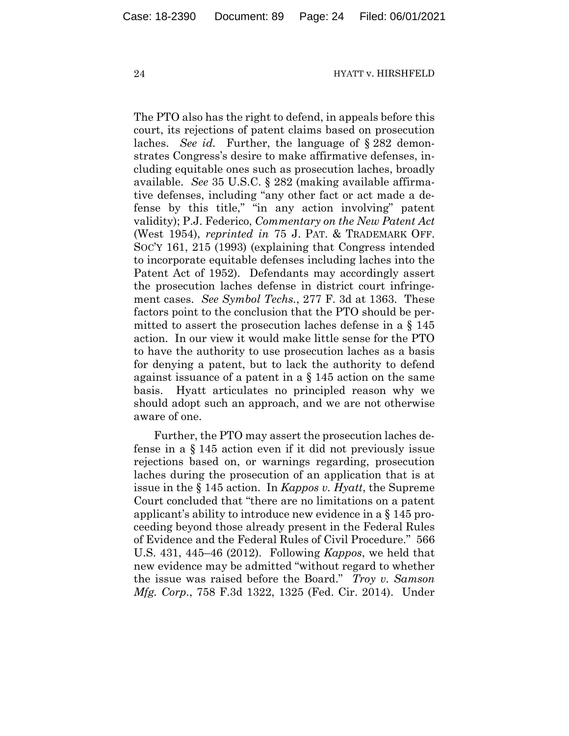The PTO also has the right to defend, in appeals before this court, its rejections of patent claims based on prosecution laches. *See id.* Further, the language of § 282 demonstrates Congress's desire to make affirmative defenses, including equitable ones such as prosecution laches, broadly available. *See* 35 U.S.C. § 282 (making available affirmative defenses, including "any other fact or act made a defense by this title," "in any action involving" patent validity); P.J. Federico, *Commentary on the New Patent Act* (West 1954), *reprinted in* 75 J. PAT. & TRADEMARK OFF. SOC'Y 161, 215 (1993) (explaining that Congress intended to incorporate equitable defenses including laches into the Patent Act of 1952). Defendants may accordingly assert the prosecution laches defense in district court infringement cases. *See Symbol Techs.*, 277 F. 3d at 1363. These factors point to the conclusion that the PTO should be permitted to assert the prosecution laches defense in a § 145 action. In our view it would make little sense for the PTO to have the authority to use prosecution laches as a basis for denying a patent, but to lack the authority to defend against issuance of a patent in a § 145 action on the same basis. Hyatt articulates no principled reason why we should adopt such an approach, and we are not otherwise aware of one.

Further, the PTO may assert the prosecution laches defense in a § 145 action even if it did not previously issue rejections based on, or warnings regarding, prosecution laches during the prosecution of an application that is at issue in the § 145 action. In *Kappos v. Hyatt*, the Supreme Court concluded that "there are no limitations on a patent applicant's ability to introduce new evidence in a § 145 proceeding beyond those already present in the Federal Rules of Evidence and the Federal Rules of Civil Procedure." 566 U.S. 431, 445–46 (2012). Following *Kappos*, we held that new evidence may be admitted "without regard to whether the issue was raised before the Board." *Troy v. Samson Mfg. Corp.*, 758 F.3d 1322, 1325 (Fed. Cir. 2014). Under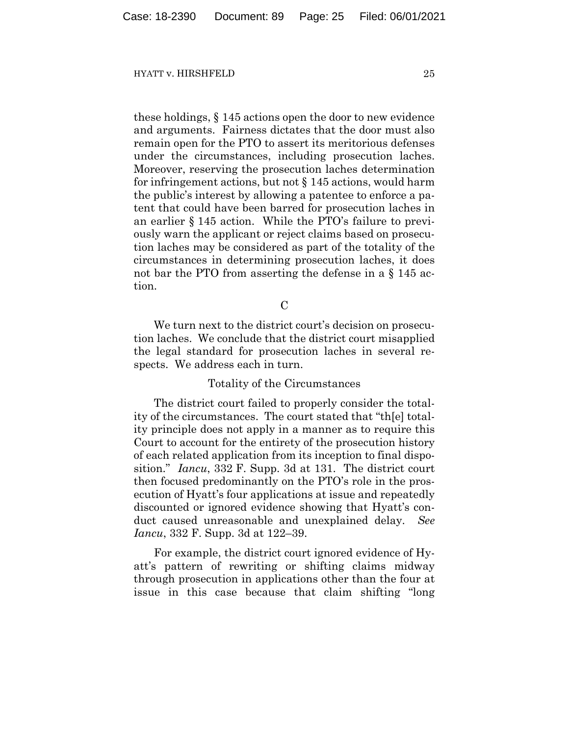these holdings, § 145 actions open the door to new evidence and arguments. Fairness dictates that the door must also remain open for the PTO to assert its meritorious defenses under the circumstances, including prosecution laches. Moreover, reserving the prosecution laches determination for infringement actions, but not § 145 actions, would harm the public's interest by allowing a patentee to enforce a patent that could have been barred for prosecution laches in an earlier § 145 action. While the PTO's failure to previously warn the applicant or reject claims based on prosecution laches may be considered as part of the totality of the circumstances in determining prosecution laches, it does not bar the PTO from asserting the defense in a § 145 action.

 $\mathcal C$ 

We turn next to the district court's decision on prosecution laches. We conclude that the district court misapplied the legal standard for prosecution laches in several respects. We address each in turn.

# Totality of the Circumstances

The district court failed to properly consider the totality of the circumstances. The court stated that "th[e] totality principle does not apply in a manner as to require this Court to account for the entirety of the prosecution history of each related application from its inception to final disposition." *Iancu*, 332 F. Supp. 3d at 131. The district court then focused predominantly on the PTO's role in the prosecution of Hyatt's four applications at issue and repeatedly discounted or ignored evidence showing that Hyatt's conduct caused unreasonable and unexplained delay. *See Iancu*, 332 F. Supp. 3d at 122–39.

For example, the district court ignored evidence of Hyatt's pattern of rewriting or shifting claims midway through prosecution in applications other than the four at issue in this case because that claim shifting "long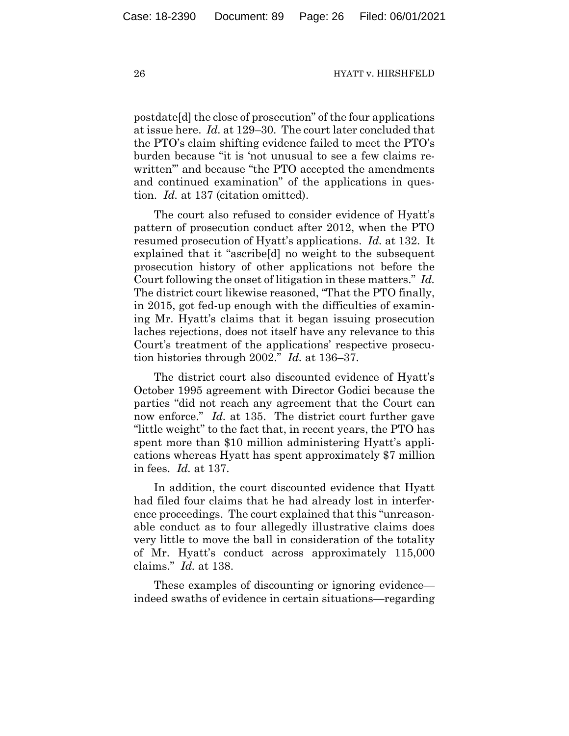postdate[d] the close of prosecution" of the four applications at issue here. *Id.* at 129–30. The court later concluded that the PTO's claim shifting evidence failed to meet the PTO's burden because "it is 'not unusual to see a few claims rewritten'" and because "the PTO accepted the amendments and continued examination" of the applications in question. *Id.* at 137 (citation omitted).

The court also refused to consider evidence of Hyatt's pattern of prosecution conduct after 2012, when the PTO resumed prosecution of Hyatt's applications. *Id.* at 132. It explained that it "ascribe[d] no weight to the subsequent prosecution history of other applications not before the Court following the onset of litigation in these matters." *Id.* The district court likewise reasoned, "That the PTO finally, in 2015, got fed-up enough with the difficulties of examining Mr. Hyatt's claims that it began issuing prosecution laches rejections, does not itself have any relevance to this Court's treatment of the applications' respective prosecution histories through 2002." *Id.* at 136–37.

The district court also discounted evidence of Hyatt's October 1995 agreement with Director Godici because the parties "did not reach any agreement that the Court can now enforce." *Id.* at 135. The district court further gave "little weight" to the fact that, in recent years, the PTO has spent more than \$10 million administering Hyatt's applications whereas Hyatt has spent approximately \$7 million in fees. *Id.* at 137.

In addition, the court discounted evidence that Hyatt had filed four claims that he had already lost in interference proceedings. The court explained that this "unreasonable conduct as to four allegedly illustrative claims does very little to move the ball in consideration of the totality of Mr. Hyatt's conduct across approximately 115,000 claims." *Id.* at 138.

These examples of discounting or ignoring evidence indeed swaths of evidence in certain situations—regarding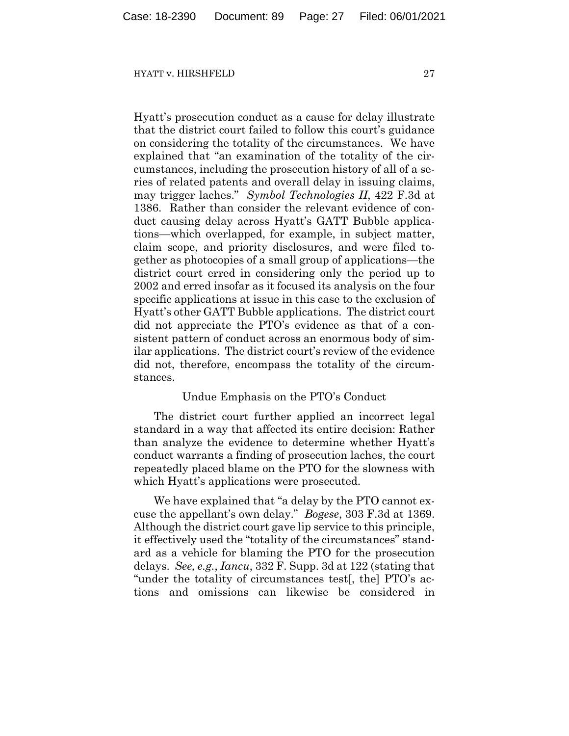Hyatt's prosecution conduct as a cause for delay illustrate that the district court failed to follow this court's guidance on considering the totality of the circumstances. We have explained that "an examination of the totality of the circumstances, including the prosecution history of all of a series of related patents and overall delay in issuing claims, may trigger laches." *Symbol Technologies II*, 422 F.3d at 1386. Rather than consider the relevant evidence of conduct causing delay across Hyatt's GATT Bubble applications—which overlapped, for example, in subject matter, claim scope, and priority disclosures, and were filed together as photocopies of a small group of applications—the district court erred in considering only the period up to 2002 and erred insofar as it focused its analysis on the four specific applications at issue in this case to the exclusion of Hyatt's other GATT Bubble applications. The district court did not appreciate the PTO's evidence as that of a consistent pattern of conduct across an enormous body of similar applications. The district court's review of the evidence did not, therefore, encompass the totality of the circumstances.

## Undue Emphasis on the PTO's Conduct

The district court further applied an incorrect legal standard in a way that affected its entire decision: Rather than analyze the evidence to determine whether Hyatt's conduct warrants a finding of prosecution laches, the court repeatedly placed blame on the PTO for the slowness with which Hyatt's applications were prosecuted.

We have explained that "a delay by the PTO cannot excuse the appellant's own delay." *Bogese*, 303 F.3d at 1369. Although the district court gave lip service to this principle, it effectively used the "totality of the circumstances" standard as a vehicle for blaming the PTO for the prosecution delays. *See, e.g.*, *Iancu*, 332 F. Supp. 3d at 122 (stating that "under the totality of circumstances test[, the] PTO's actions and omissions can likewise be considered in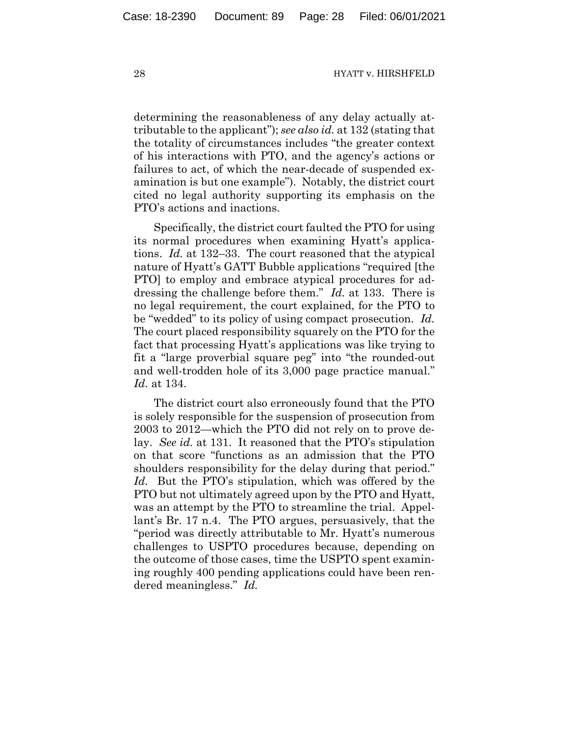determining the reasonableness of any delay actually attributable to the applicant"); *see also id.* at 132 (stating that the totality of circumstances includes "the greater context of his interactions with PTO, and the agency's actions or failures to act, of which the near-decade of suspended examination is but one example"). Notably, the district court cited no legal authority supporting its emphasis on the PTO's actions and inactions.

Specifically, the district court faulted the PTO for using its normal procedures when examining Hyatt's applications. *Id.* at 132–33. The court reasoned that the atypical nature of Hyatt's GATT Bubble applications "required [the PTO] to employ and embrace atypical procedures for addressing the challenge before them." *Id.* at 133. There is no legal requirement, the court explained, for the PTO to be "wedded" to its policy of using compact prosecution. *Id.* The court placed responsibility squarely on the PTO for the fact that processing Hyatt's applications was like trying to fit a "large proverbial square peg" into "the rounded-out and well-trodden hole of its 3,000 page practice manual." *Id.* at 134.

The district court also erroneously found that the PTO is solely responsible for the suspension of prosecution from 2003 to 2012—which the PTO did not rely on to prove delay. *See id.* at 131. It reasoned that the PTO's stipulation on that score "functions as an admission that the PTO shoulders responsibility for the delay during that period." *Id.* But the PTO's stipulation, which was offered by the PTO but not ultimately agreed upon by the PTO and Hyatt, was an attempt by the PTO to streamline the trial. Appellant's Br. 17 n.4. The PTO argues, persuasively, that the "period was directly attributable to Mr. Hyatt's numerous challenges to USPTO procedures because, depending on the outcome of those cases, time the USPTO spent examining roughly 400 pending applications could have been rendered meaningless." *Id.*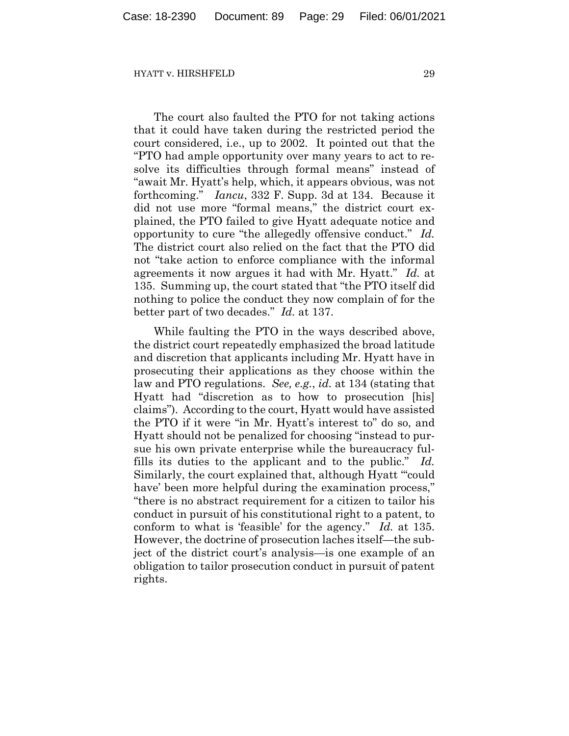The court also faulted the PTO for not taking actions that it could have taken during the restricted period the court considered, i.e., up to 2002. It pointed out that the "PTO had ample opportunity over many years to act to resolve its difficulties through formal means" instead of "await Mr. Hyatt's help, which, it appears obvious, was not forthcoming." *Iancu*, 332 F. Supp. 3d at 134. Because it did not use more "formal means," the district court explained, the PTO failed to give Hyatt adequate notice and opportunity to cure "the allegedly offensive conduct." *Id.* The district court also relied on the fact that the PTO did not "take action to enforce compliance with the informal agreements it now argues it had with Mr. Hyatt." *Id.* at 135. Summing up, the court stated that "the PTO itself did nothing to police the conduct they now complain of for the better part of two decades." *Id.* at 137.

While faulting the PTO in the ways described above, the district court repeatedly emphasized the broad latitude and discretion that applicants including Mr. Hyatt have in prosecuting their applications as they choose within the law and PTO regulations. *See, e.g.*, *id.* at 134 (stating that Hyatt had "discretion as to how to prosecution [his] claims"). According to the court, Hyatt would have assisted the PTO if it were "in Mr. Hyatt's interest to" do so, and Hyatt should not be penalized for choosing "instead to pursue his own private enterprise while the bureaucracy fulfills its duties to the applicant and to the public." *Id.* Similarly, the court explained that, although Hyatt "'could have' been more helpful during the examination process," "there is no abstract requirement for a citizen to tailor his conduct in pursuit of his constitutional right to a patent, to conform to what is 'feasible' for the agency." *Id.* at 135. However, the doctrine of prosecution laches itself—the subject of the district court's analysis—is one example of an obligation to tailor prosecution conduct in pursuit of patent rights.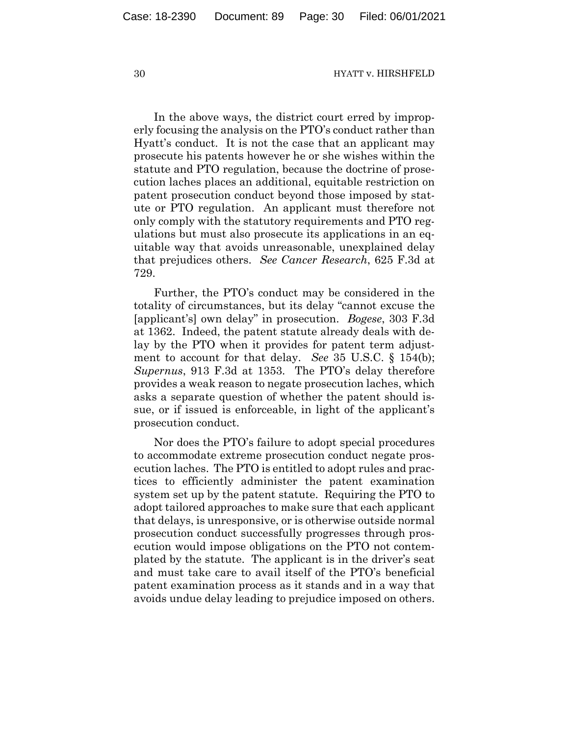In the above ways, the district court erred by improperly focusing the analysis on the PTO's conduct rather than Hyatt's conduct. It is not the case that an applicant may prosecute his patents however he or she wishes within the statute and PTO regulation, because the doctrine of prosecution laches places an additional, equitable restriction on patent prosecution conduct beyond those imposed by statute or PTO regulation. An applicant must therefore not only comply with the statutory requirements and PTO regulations but must also prosecute its applications in an equitable way that avoids unreasonable, unexplained delay that prejudices others. *See Cancer Research*, 625 F.3d at 729.

Further, the PTO's conduct may be considered in the totality of circumstances, but its delay "cannot excuse the [applicant's] own delay" in prosecution. *Bogese*, 303 F.3d at 1362. Indeed, the patent statute already deals with delay by the PTO when it provides for patent term adjustment to account for that delay. *See* 35 U.S.C. § 154(b); *Supernus*, 913 F.3d at 1353. The PTO's delay therefore provides a weak reason to negate prosecution laches, which asks a separate question of whether the patent should issue, or if issued is enforceable, in light of the applicant's prosecution conduct.

Nor does the PTO's failure to adopt special procedures to accommodate extreme prosecution conduct negate prosecution laches. The PTO is entitled to adopt rules and practices to efficiently administer the patent examination system set up by the patent statute. Requiring the PTO to adopt tailored approaches to make sure that each applicant that delays, is unresponsive, or is otherwise outside normal prosecution conduct successfully progresses through prosecution would impose obligations on the PTO not contemplated by the statute. The applicant is in the driver's seat and must take care to avail itself of the PTO's beneficial patent examination process as it stands and in a way that avoids undue delay leading to prejudice imposed on others.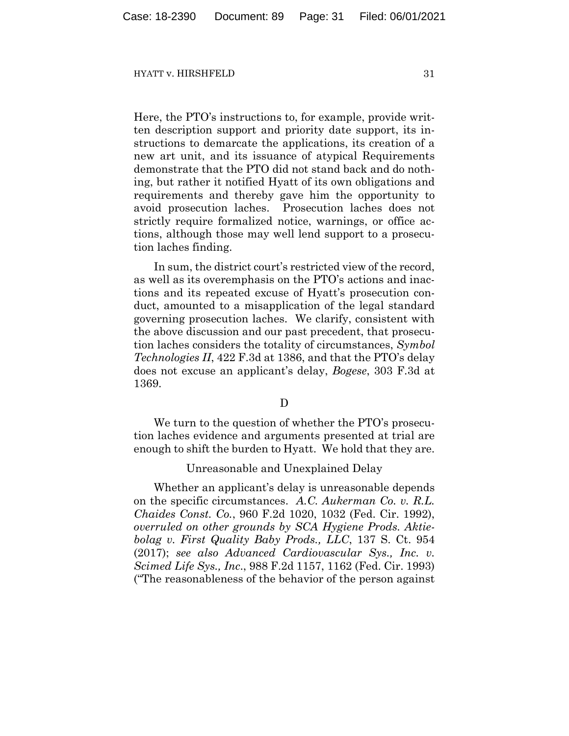Here, the PTO's instructions to, for example, provide written description support and priority date support, its instructions to demarcate the applications, its creation of a new art unit, and its issuance of atypical Requirements demonstrate that the PTO did not stand back and do nothing, but rather it notified Hyatt of its own obligations and requirements and thereby gave him the opportunity to avoid prosecution laches. Prosecution laches does not strictly require formalized notice, warnings, or office actions, although those may well lend support to a prosecution laches finding.

In sum, the district court's restricted view of the record, as well as its overemphasis on the PTO's actions and inactions and its repeated excuse of Hyatt's prosecution conduct, amounted to a misapplication of the legal standard governing prosecution laches. We clarify, consistent with the above discussion and our past precedent, that prosecution laches considers the totality of circumstances, *Symbol Technologies II*, 422 F.3d at 1386, and that the PTO's delay does not excuse an applicant's delay, *Bogese*, 303 F.3d at 1369.

## D

We turn to the question of whether the PTO's prosecution laches evidence and arguments presented at trial are enough to shift the burden to Hyatt. We hold that they are.

## Unreasonable and Unexplained Delay

Whether an applicant's delay is unreasonable depends on the specific circumstances. *A.C. Aukerman Co. v. R.L. Chaides Const. Co.*, 960 F.2d 1020, 1032 (Fed. Cir. 1992), *overruled on other grounds by SCA Hygiene Prods. Aktiebolag v. First Quality Baby Prods., LLC*, 137 S. Ct. 954 (2017); *see also Advanced Cardiovascular Sys., Inc. v. Scimed Life Sys., Inc*., 988 F.2d 1157, 1162 (Fed. Cir. 1993) ("The reasonableness of the behavior of the person against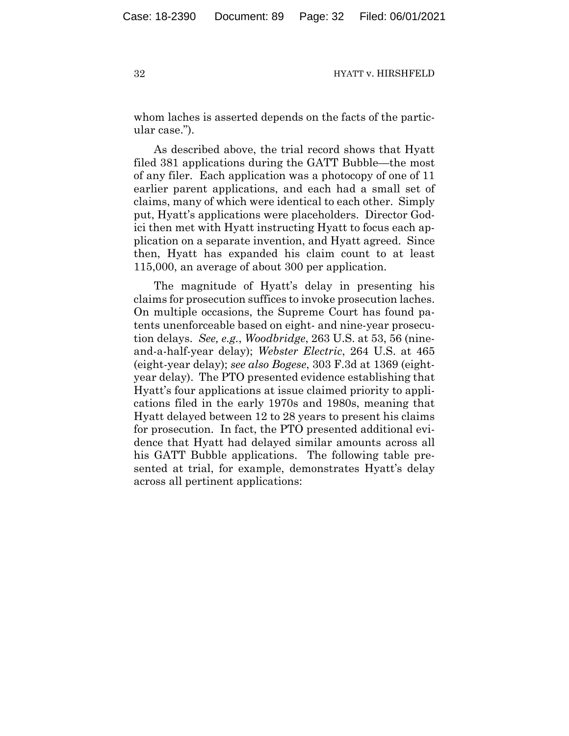whom laches is asserted depends on the facts of the particular case.").

As described above, the trial record shows that Hyatt filed 381 applications during the GATT Bubble—the most of any filer. Each application was a photocopy of one of 11 earlier parent applications, and each had a small set of claims, many of which were identical to each other. Simply put, Hyatt's applications were placeholders. Director Godici then met with Hyatt instructing Hyatt to focus each application on a separate invention, and Hyatt agreed. Since then, Hyatt has expanded his claim count to at least 115,000, an average of about 300 per application.

The magnitude of Hyatt's delay in presenting his claims for prosecution suffices to invoke prosecution laches. On multiple occasions, the Supreme Court has found patents unenforceable based on eight- and nine-year prosecution delays. *See, e.g.*, *Woodbridge*, 263 U.S. at 53, 56 (nineand-a-half-year delay); *Webster Electric*, 264 U.S. at 465 (eight-year delay); *see also Bogese*, 303 F.3d at 1369 (eightyear delay). The PTO presented evidence establishing that Hyatt's four applications at issue claimed priority to applications filed in the early 1970s and 1980s, meaning that Hyatt delayed between 12 to 28 years to present his claims for prosecution. In fact, the PTO presented additional evidence that Hyatt had delayed similar amounts across all his GATT Bubble applications. The following table presented at trial, for example, demonstrates Hyatt's delay across all pertinent applications: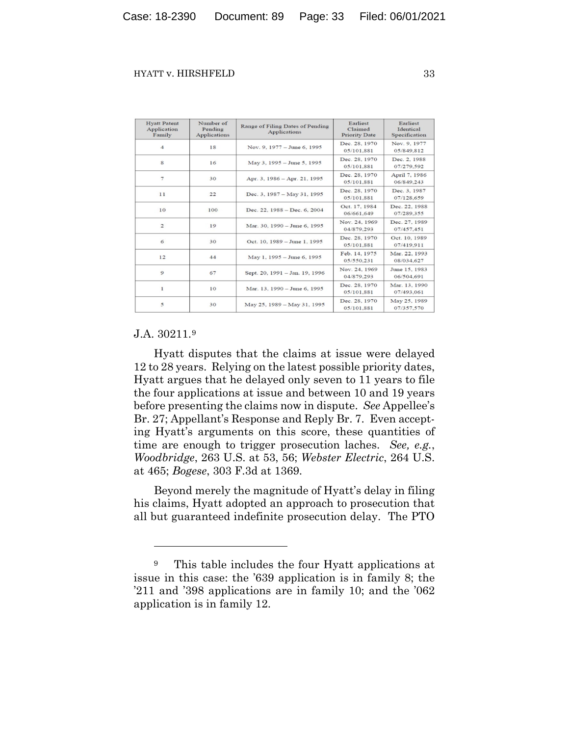| <b>Hyatt Patent</b><br>Application<br>Family | Number of<br>Pending<br><b>Applications</b> | Range of Filing Dates of Pending<br>Applications | Earliest<br>Claimed<br><b>Priority Date</b> | Earliest<br>Identical<br>Specification |
|----------------------------------------------|---------------------------------------------|--------------------------------------------------|---------------------------------------------|----------------------------------------|
| 4                                            | 18                                          | Nov. 9, 1977 – June 6, 1995                      | Dec. 28, 1970<br>05/101.881                 | Nov. 9, 1977<br>05/849.812             |
| 8                                            | 16                                          | May 3, 1995 – June 5, 1995                       | Dec. 28, 1970<br>05/101.881                 | Dec. 2, 1988<br>07/279.592             |
| 7                                            | 30                                          | Apr. 3, 1986 - Apr. 21, 1995                     | Dec. 28, 1970<br>05/101.881                 | April 7, 1986<br>06/849.243            |
| 11                                           | 22                                          | Dec. 3, 1987 - May 31, 1995                      | Dec. 28, 1970<br>05/101.881                 | Dec. 3, 1987<br>07/128,659             |
| 10                                           | 100                                         | Dec. 22, 1988 - Dec. 6, 2004                     | Oct. 17, 1984<br>06/661.649                 | Dec. 22, 1988<br>07/289.355            |
| $\overline{\mathbf{c}}$                      | 19                                          | Mar. 30, 1990 - June 6, 1995                     | Nov. 24, 1969<br>04/879.293                 | Dec. 27, 1989<br>07/457.451            |
| 6                                            | 30                                          | Oct. 10, 1989 - June 1, 1995                     | Dec. 28, 1970<br>05/101.881                 | Oct. 10, 1989<br>07/419.911            |
| 12                                           | 44                                          | May 1, 1995 - June 6, 1995                       | Feb. 14, 1975<br>05/550.231                 | Mar. 22, 1993<br>08/034.627            |
| 9                                            | 67                                          | Sept. 20, 1991 - Jan. 19, 1996                   | Nov. 24, 1969<br>04/879.293                 | June 15, 1983<br>06/504.691            |
| $\mathbf{1}$                                 | 10                                          | Mar. 13, 1990 - June 6, 1995                     | Dec. 28, 1970<br>05/101.881                 | Mar. 13, 1990<br>07/493.061            |
| 5                                            | 30                                          | May 25, 1989 - May 31, 1995                      | Dec. 28, 1970<br>05/101.881                 | May 25, 1989<br>07/357.570             |

# J.A. 30211.[9](#page-32-0)

Hyatt disputes that the claims at issue were delayed 12 to 28 years. Relying on the latest possible priority dates, Hyatt argues that he delayed only seven to 11 years to file the four applications at issue and between 10 and 19 years before presenting the claims now in dispute. *See* Appellee's Br. 27; Appellant's Response and Reply Br. 7. Even accepting Hyatt's arguments on this score, these quantities of time are enough to trigger prosecution laches. *See, e.g.*, *Woodbridge*, 263 U.S. at 53, 56; *Webster Electric*, 264 U.S. at 465; *Bogese*, 303 F.3d at 1369.

Beyond merely the magnitude of Hyatt's delay in filing his claims, Hyatt adopted an approach to prosecution that all but guaranteed indefinite prosecution delay. The PTO

<span id="page-32-0"></span><sup>9</sup> This table includes the four Hyatt applications at issue in this case: the '639 application is in family 8; the '211 and '398 applications are in family 10; and the '062 application is in family 12.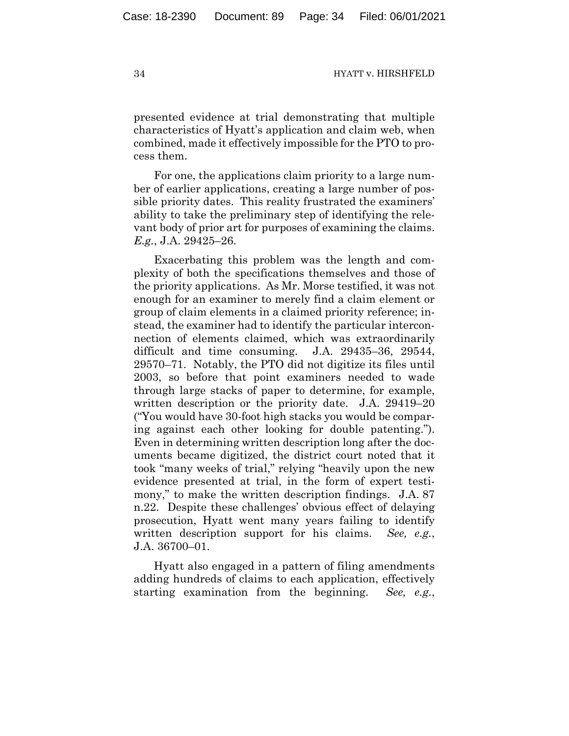presented evidence at trial demonstrating that multiple characteristics of Hyatt's application and claim web, when combined, made it effectively impossible for the PTO to process them.

For one, the applications claim priority to a large number of earlier applications, creating a large number of possible priority dates. This reality frustrated the examiners' ability to take the preliminary step of identifying the relevant body of prior art for purposes of examining the claims. *E.g.*, J.A. 29425–26.

Exacerbating this problem was the length and complexity of both the specifications themselves and those of the priority applications. As Mr. Morse testified, it was not enough for an examiner to merely find a claim element or group of claim elements in a claimed priority reference; instead, the examiner had to identify the particular interconnection of elements claimed, which was extraordinarily difficult and time consuming. J.A. 29435–36, 29544, 29570–71. Notably, the PTO did not digitize its files until 2003, so before that point examiners needed to wade through large stacks of paper to determine, for example, written description or the priority date. J.A. 29419–20 ("You would have 30-foot high stacks you would be comparing against each other looking for double patenting."). Even in determining written description long after the documents became digitized, the district court noted that it took "many weeks of trial," relying "heavily upon the new evidence presented at trial, in the form of expert testimony," to make the written description findings. J.A. 87 n.22. Despite these challenges' obvious effect of delaying prosecution, Hyatt went many years failing to identify written description support for his claims. *See, e.g.*, J.A. 36700–01.

Hyatt also engaged in a pattern of filing amendments adding hundreds of claims to each application, effectively starting examination from the beginning. *See, e.g.*,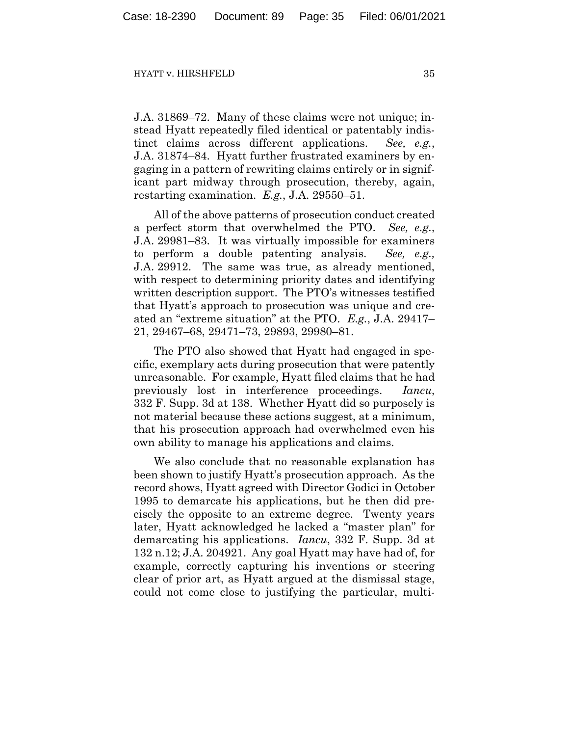J.A. 31869–72. Many of these claims were not unique; instead Hyatt repeatedly filed identical or patentably indistinct claims across different applications. *See, e.g.*, J.A. 31874–84. Hyatt further frustrated examiners by engaging in a pattern of rewriting claims entirely or in significant part midway through prosecution, thereby, again, restarting examination. *E.g.*, J.A. 29550–51.

All of the above patterns of prosecution conduct created a perfect storm that overwhelmed the PTO. *See, e.g.*, J.A. 29981–83. It was virtually impossible for examiners to perform a double patenting analysis. *See, e.g.,* J.A. 29912. The same was true, as already mentioned, with respect to determining priority dates and identifying written description support. The PTO's witnesses testified that Hyatt's approach to prosecution was unique and created an "extreme situation" at the PTO. *E.g.*, J.A. 29417– 21, 29467–68, 29471–73, 29893, 29980–81.

The PTO also showed that Hyatt had engaged in specific, exemplary acts during prosecution that were patently unreasonable. For example, Hyatt filed claims that he had previously lost in interference proceedings. *Iancu*, 332 F. Supp. 3d at 138. Whether Hyatt did so purposely is not material because these actions suggest, at a minimum, that his prosecution approach had overwhelmed even his own ability to manage his applications and claims.

We also conclude that no reasonable explanation has been shown to justify Hyatt's prosecution approach. As the record shows, Hyatt agreed with Director Godici in October 1995 to demarcate his applications, but he then did precisely the opposite to an extreme degree. Twenty years later, Hyatt acknowledged he lacked a "master plan" for demarcating his applications. *Iancu*, 332 F. Supp. 3d at 132 n.12; J.A. 204921. Any goal Hyatt may have had of, for example, correctly capturing his inventions or steering clear of prior art, as Hyatt argued at the dismissal stage, could not come close to justifying the particular, multi-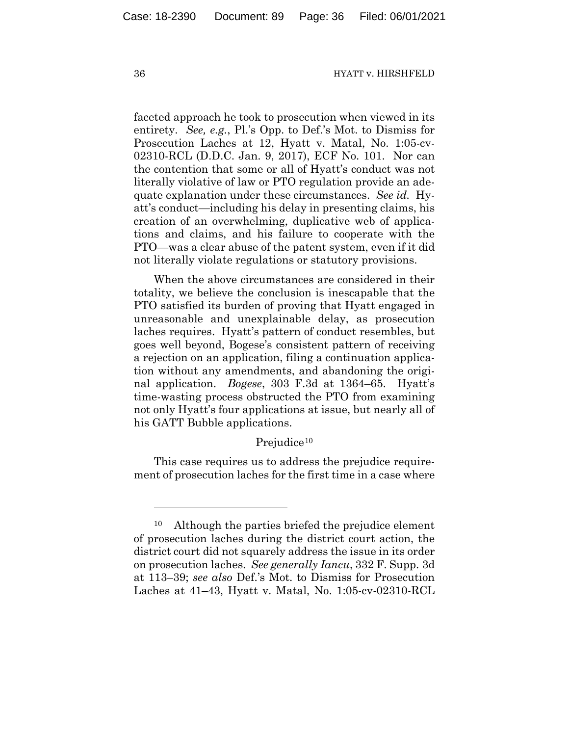faceted approach he took to prosecution when viewed in its entirety. *See, e.g.*, Pl.'s Opp. to Def.'s Mot. to Dismiss for Prosecution Laches at 12, Hyatt v. Matal, No. 1:05-cv-02310-RCL (D.D.C. Jan. 9, 2017), ECF No. 101. Nor can the contention that some or all of Hyatt's conduct was not literally violative of law or PTO regulation provide an adequate explanation under these circumstances. *See id.* Hyatt's conduct—including his delay in presenting claims, his creation of an overwhelming, duplicative web of applications and claims, and his failure to cooperate with the PTO—was a clear abuse of the patent system, even if it did not literally violate regulations or statutory provisions.

When the above circumstances are considered in their totality, we believe the conclusion is inescapable that the PTO satisfied its burden of proving that Hyatt engaged in unreasonable and unexplainable delay, as prosecution laches requires. Hyatt's pattern of conduct resembles, but goes well beyond, Bogese's consistent pattern of receiving a rejection on an application, filing a continuation application without any amendments, and abandoning the original application. *Bogese*, 303 F.3d at 1364–65. Hyatt's time-wasting process obstructed the PTO from examining not only Hyatt's four applications at issue, but nearly all of his GATT Bubble applications.

## Prejudice<sup>[10](#page-35-0)</sup>

This case requires us to address the prejudice requirement of prosecution laches for the first time in a case where

<span id="page-35-0"></span><sup>10</sup> Although the parties briefed the prejudice element of prosecution laches during the district court action, the district court did not squarely address the issue in its order on prosecution laches. *See generally Iancu*, 332 F. Supp. 3d at 113–39; *see also* Def.'s Mot. to Dismiss for Prosecution Laches at 41–43, Hyatt v. Matal, No. 1:05-cv-02310-RCL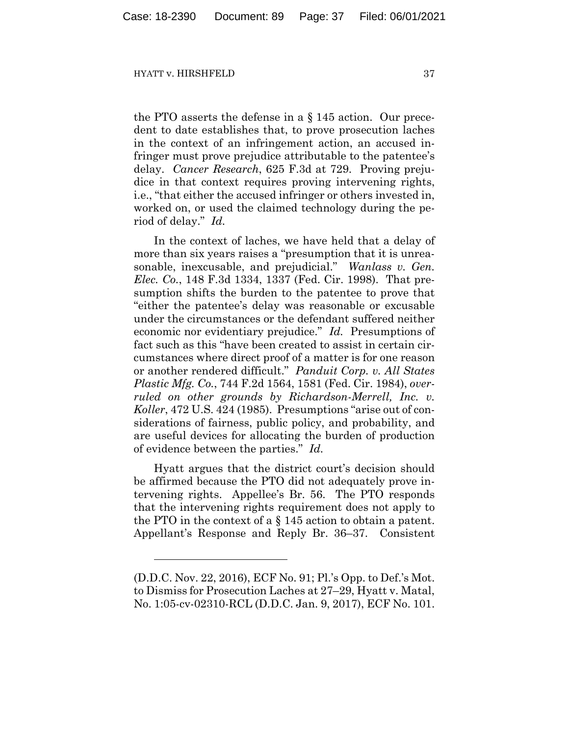the PTO asserts the defense in a § 145 action. Our precedent to date establishes that, to prove prosecution laches in the context of an infringement action, an accused infringer must prove prejudice attributable to the patentee's delay. *Cancer Research*, 625 F.3d at 729. Proving prejudice in that context requires proving intervening rights, i.e., "that either the accused infringer or others invested in, worked on, or used the claimed technology during the period of delay." *Id.*

In the context of laches, we have held that a delay of more than six years raises a "presumption that it is unreasonable, inexcusable, and prejudicial." *Wanlass v. Gen. Elec. Co.*, 148 F.3d 1334, 1337 (Fed. Cir. 1998). That presumption shifts the burden to the patentee to prove that "either the patentee's delay was reasonable or excusable under the circumstances or the defendant suffered neither economic nor evidentiary prejudice." *Id.* Presumptions of fact such as this "have been created to assist in certain circumstances where direct proof of a matter is for one reason or another rendered difficult." *Panduit Corp. v. All States Plastic Mfg. Co.*, 744 F.2d 1564, 1581 (Fed. Cir. 1984), *over*ruled on other grounds by Richardson-Merrell, Inc. v. *Koller*, 472 U.S. 424 (1985). Presumptions "arise out of considerations of fairness, public policy, and probability, and are useful devices for allocating the burden of production of evidence between the parties." *Id.*

Hyatt argues that the district court's decision should be affirmed because the PTO did not adequately prove intervening rights. Appellee's Br. 56. The PTO responds that the intervening rights requirement does not apply to the PTO in the context of a § 145 action to obtain a patent. Appellant's Response and Reply Br. 36–37. Consistent

<sup>(</sup>D.D.C. Nov. 22, 2016), ECF No. 91; Pl.'s Opp. to Def.'s Mot. to Dismiss for Prosecution Laches at 27–29, Hyatt v. Matal, No. 1:05-cv-02310-RCL (D.D.C. Jan. 9, 2017), ECF No. 101.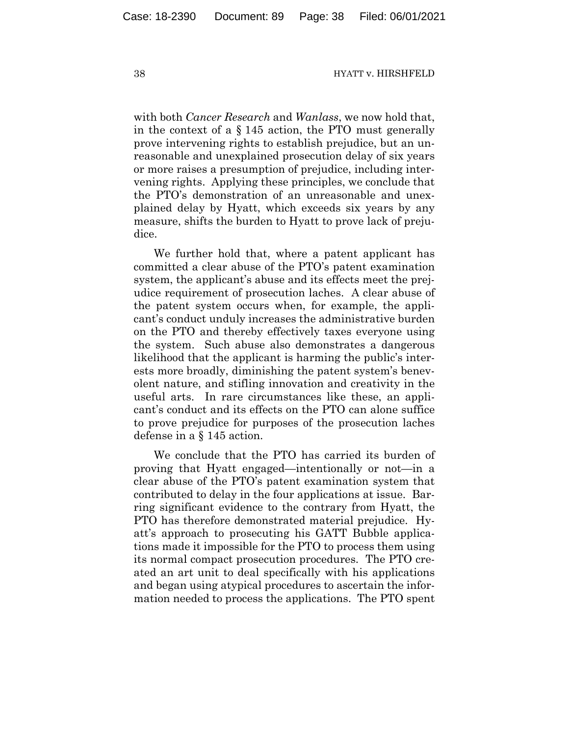with both *Cancer Research* and *Wanlass*, we now hold that, in the context of a § 145 action, the PTO must generally prove intervening rights to establish prejudice, but an unreasonable and unexplained prosecution delay of six years or more raises a presumption of prejudice, including intervening rights. Applying these principles, we conclude that the PTO's demonstration of an unreasonable and unexplained delay by Hyatt, which exceeds six years by any measure, shifts the burden to Hyatt to prove lack of prejudice.

We further hold that, where a patent applicant has committed a clear abuse of the PTO's patent examination system, the applicant's abuse and its effects meet the prejudice requirement of prosecution laches. A clear abuse of the patent system occurs when, for example, the applicant's conduct unduly increases the administrative burden on the PTO and thereby effectively taxes everyone using the system. Such abuse also demonstrates a dangerous likelihood that the applicant is harming the public's interests more broadly, diminishing the patent system's benevolent nature, and stifling innovation and creativity in the useful arts. In rare circumstances like these, an applicant's conduct and its effects on the PTO can alone suffice to prove prejudice for purposes of the prosecution laches defense in a § 145 action.

We conclude that the PTO has carried its burden of proving that Hyatt engaged—intentionally or not—in a clear abuse of the PTO's patent examination system that contributed to delay in the four applications at issue. Barring significant evidence to the contrary from Hyatt, the PTO has therefore demonstrated material prejudice. Hyatt's approach to prosecuting his GATT Bubble applications made it impossible for the PTO to process them using its normal compact prosecution procedures. The PTO created an art unit to deal specifically with his applications and began using atypical procedures to ascertain the information needed to process the applications. The PTO spent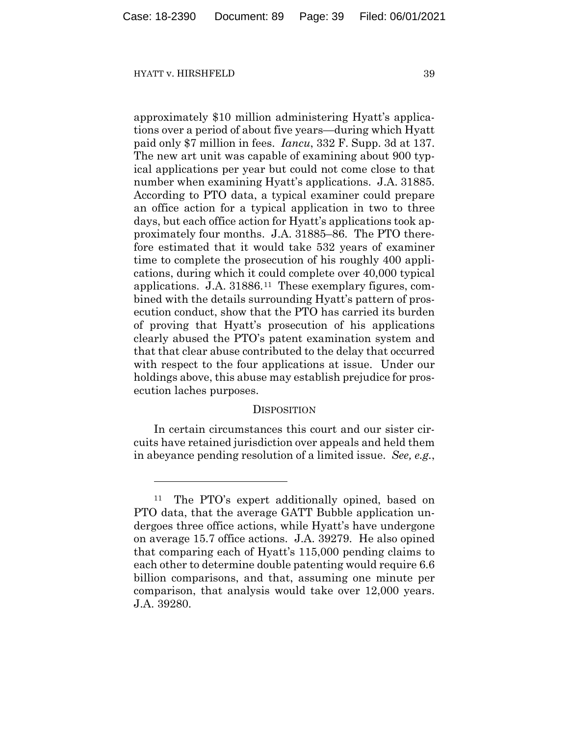approximately \$10 million administering Hyatt's applications over a period of about five years—during which Hyatt paid only \$7 million in fees. *Iancu*, 332 F. Supp. 3d at 137. The new art unit was capable of examining about 900 typical applications per year but could not come close to that number when examining Hyatt's applications. J.A. 31885. According to PTO data, a typical examiner could prepare an office action for a typical application in two to three days, but each office action for Hyatt's applications took approximately four months. J.A. 31885–86. The PTO therefore estimated that it would take 532 years of examiner time to complete the prosecution of his roughly 400 applications, during which it could complete over 40,000 typical applications. J.A. 31886.[11](#page-38-0) These exemplary figures, combined with the details surrounding Hyatt's pattern of prosecution conduct, show that the PTO has carried its burden of proving that Hyatt's prosecution of his applications clearly abused the PTO's patent examination system and that that clear abuse contributed to the delay that occurred with respect to the four applications at issue. Under our holdings above, this abuse may establish prejudice for prosecution laches purposes.

# **DISPOSITION**

In certain circumstances this court and our sister circuits have retained jurisdiction over appeals and held them in abeyance pending resolution of a limited issue. *See, e.g.*,

<span id="page-38-0"></span><sup>11</sup> The PTO's expert additionally opined, based on PTO data, that the average GATT Bubble application undergoes three office actions, while Hyatt's have undergone on average 15.7 office actions. J.A. 39279. He also opined that comparing each of Hyatt's 115,000 pending claims to each other to determine double patenting would require 6.6 billion comparisons, and that, assuming one minute per comparison, that analysis would take over 12,000 years. J.A. 39280.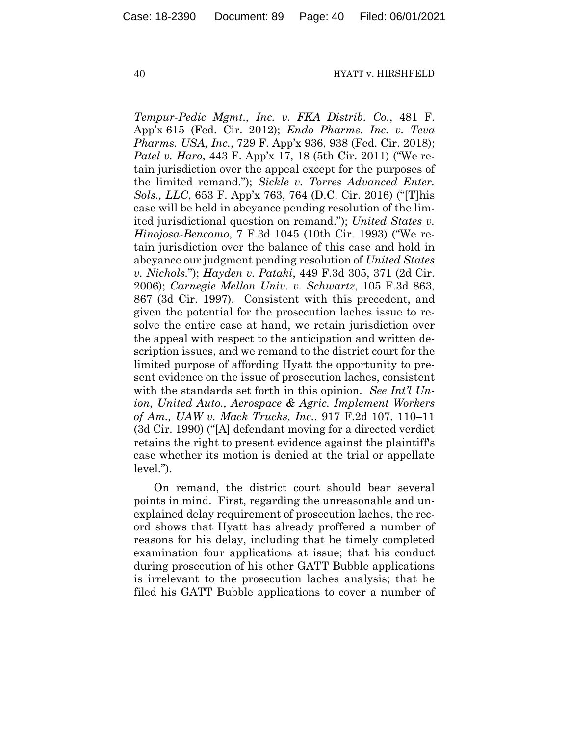*Tempur-Pedic Mgmt., Inc. v. FKA Distrib. Co.*, 481 F. App'x 615 (Fed. Cir. 2012); *Endo Pharms. Inc. v. Teva Pharms. USA, Inc.*, 729 F. App'x 936, 938 (Fed. Cir. 2018); *Patel v. Haro*, 443 F. App'x 17, 18 (5th Cir. 2011) ("We retain jurisdiction over the appeal except for the purposes of the limited remand."); *Sickle v. Torres Advanced Enter. Sols., LLC*, 653 F. App'x 763, 764 (D.C. Cir. 2016) ("[T]his case will be held in abeyance pending resolution of the limited jurisdictional question on remand."); *United States v. Hinojosa-Bencomo*, 7 F.3d 1045 (10th Cir. 1993) ("We retain jurisdiction over the balance of this case and hold in abeyance our judgment pending resolution of *United States v. Nichols.*"); *Hayden v. Pataki*, 449 F.3d 305, 371 (2d Cir. 2006); *Carnegie Mellon Univ. v. Schwartz*, 105 F.3d 863, 867 (3d Cir. 1997). Consistent with this precedent, and given the potential for the prosecution laches issue to resolve the entire case at hand, we retain jurisdiction over the appeal with respect to the anticipation and written description issues, and we remand to the district court for the limited purpose of affording Hyatt the opportunity to present evidence on the issue of prosecution laches, consistent with the standards set forth in this opinion. *See Int'l Union, United Auto., Aerospace & Agric. Implement Workers of Am., UAW v. Mack Trucks, Inc.*, 917 F.2d 107, 110–11 (3d Cir. 1990) ("[A] defendant moving for a directed verdict retains the right to present evidence against the plaintiff's case whether its motion is denied at the trial or appellate level.").

On remand, the district court should bear several points in mind. First, regarding the unreasonable and unexplained delay requirement of prosecution laches, the record shows that Hyatt has already proffered a number of reasons for his delay, including that he timely completed examination four applications at issue; that his conduct during prosecution of his other GATT Bubble applications is irrelevant to the prosecution laches analysis; that he filed his GATT Bubble applications to cover a number of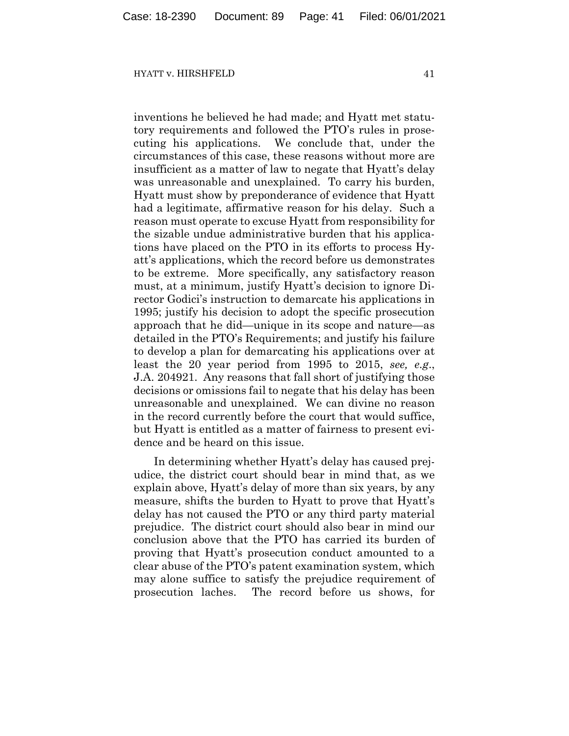inventions he believed he had made; and Hyatt met statutory requirements and followed the PTO's rules in prosecuting his applications. We conclude that, under the circumstances of this case, these reasons without more are insufficient as a matter of law to negate that Hyatt's delay was unreasonable and unexplained. To carry his burden, Hyatt must show by preponderance of evidence that Hyatt had a legitimate, affirmative reason for his delay. Such a reason must operate to excuse Hyatt from responsibility for the sizable undue administrative burden that his applications have placed on the PTO in its efforts to process Hyatt's applications, which the record before us demonstrates to be extreme. More specifically, any satisfactory reason must, at a minimum, justify Hyatt's decision to ignore Director Godici's instruction to demarcate his applications in 1995; justify his decision to adopt the specific prosecution approach that he did—unique in its scope and nature—as detailed in the PTO's Requirements; and justify his failure to develop a plan for demarcating his applications over at least the 20 year period from 1995 to 2015, *see, e.g*., J.A. 204921. Any reasons that fall short of justifying those decisions or omissions fail to negate that his delay has been unreasonable and unexplained. We can divine no reason in the record currently before the court that would suffice, but Hyatt is entitled as a matter of fairness to present evidence and be heard on this issue.

In determining whether Hyatt's delay has caused prejudice, the district court should bear in mind that, as we explain above, Hyatt's delay of more than six years, by any measure, shifts the burden to Hyatt to prove that Hyatt's delay has not caused the PTO or any third party material prejudice. The district court should also bear in mind our conclusion above that the PTO has carried its burden of proving that Hyatt's prosecution conduct amounted to a clear abuse of the PTO's patent examination system, which may alone suffice to satisfy the prejudice requirement of prosecution laches. The record before us shows, for